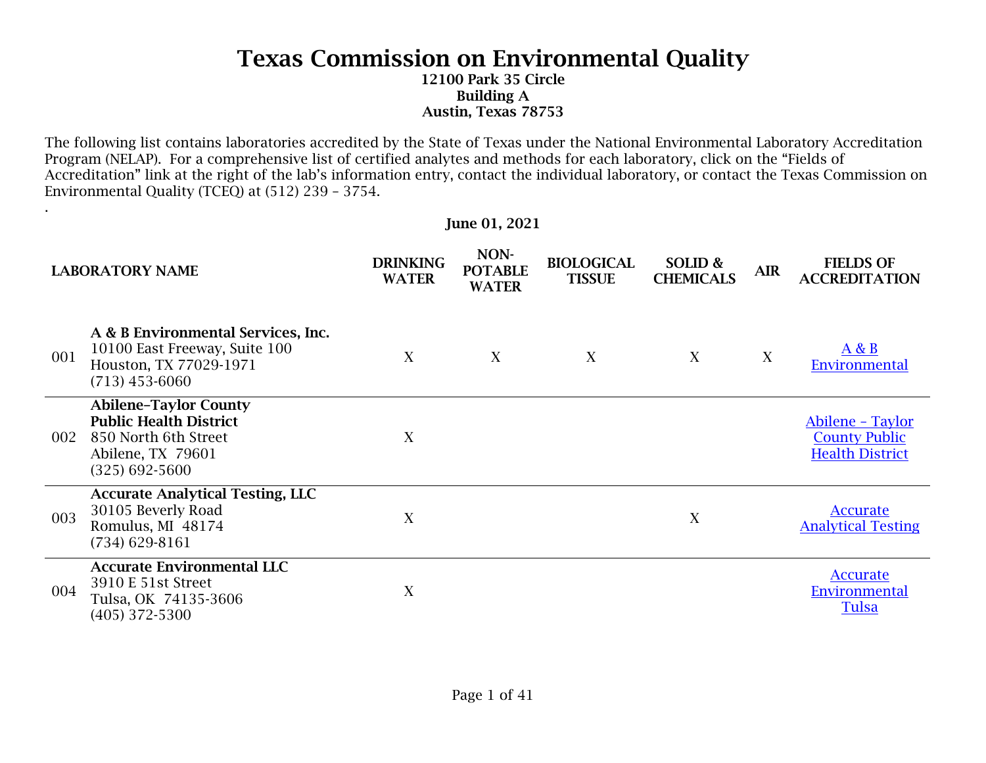12100 Park 35 Circle Building A Austin, Texas 78753

The following list contains laboratories accredited by the State of Texas under the National Environmental Laboratory Accreditation Program (NELAP). For a comprehensive list of certified analytes and methods for each laboratory, click on the "Fields of Accreditation" link at the right of the lab's information entry, contact the individual laboratory, or contact the Texas Commission on Environmental Quality (TCEQ) at (512) 239 – 3754.

June 01, 2021

.

|     | <b>LABORATORY NAME</b>                                                                                                           | <b>DRINKING</b><br><b>WATER</b> | NON-<br><b>POTABLE</b><br><b>WATER</b> | <b>BIOLOGICAL</b><br><b>TISSUE</b> | SOLID &<br><b>CHEMICALS</b> | <b>AIR</b> | <b>FIELDS OF</b><br><b>ACCREDITATION</b>                           |
|-----|----------------------------------------------------------------------------------------------------------------------------------|---------------------------------|----------------------------------------|------------------------------------|-----------------------------|------------|--------------------------------------------------------------------|
| 001 | A & B Environmental Services, Inc.<br>10100 East Freeway, Suite 100<br>Houston, TX 77029-1971<br>$(713)$ 453-6060                | X                               | X                                      | X                                  | X                           | X          | A & B<br>Environmental                                             |
| 002 | <b>Abilene-Taylor County</b><br><b>Public Health District</b><br>850 North 6th Street<br>Abilene, TX 79601<br>$(325) 692 - 5600$ | X                               |                                        |                                    |                             |            | Abilene - Taylor<br><b>County Public</b><br><b>Health District</b> |
| 003 | <b>Accurate Analytical Testing, LLC</b><br>30105 Beverly Road<br>Romulus, MI 48174<br>$(734)$ 629-8161                           | X                               |                                        |                                    | X                           |            | Accurate<br><b>Analytical Testing</b>                              |
| 004 | <b>Accurate Environmental LLC</b><br>3910 E 51st Street<br>Tulsa, OK 74135-3606<br>$(405)$ 372-5300                              | X                               |                                        |                                    |                             |            | <b>Accurate</b><br>Environmental<br><b>Tulsa</b>                   |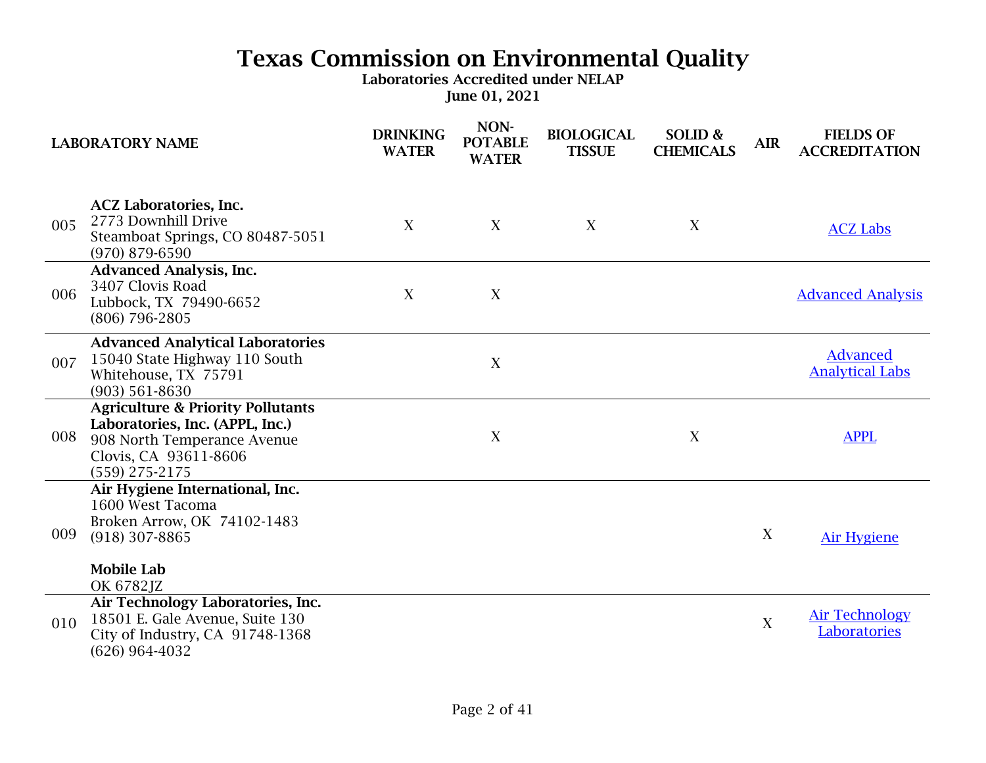|     | <b>LABORATORY NAME</b>                                                                                                                                      | <b>DRINKING</b><br><b>WATER</b> | NON-<br><b>POTABLE</b><br><b>WATER</b> | <b>BIOLOGICAL</b><br><b>TISSUE</b> | SOLID &<br><b>CHEMICALS</b> | <b>AIR</b>  | <b>FIELDS OF</b><br><b>ACCREDITATION</b>  |
|-----|-------------------------------------------------------------------------------------------------------------------------------------------------------------|---------------------------------|----------------------------------------|------------------------------------|-----------------------------|-------------|-------------------------------------------|
| 005 | <b>ACZ Laboratories, Inc.</b><br>2773 Downhill Drive<br>Steamboat Springs, CO 80487-5051<br>$(970)$ 879-6590                                                | X                               | X                                      | X                                  | X                           |             | <b>ACZ Labs</b>                           |
| 006 | <b>Advanced Analysis, Inc.</b><br>3407 Clovis Road<br>Lubbock, TX 79490-6652<br>(806) 796-2805                                                              | X                               | $\mathbf X$                            |                                    |                             |             | <b>Advanced Analysis</b>                  |
| 007 | <b>Advanced Analytical Laboratories</b><br>15040 State Highway 110 South<br>Whitehouse, TX 75791<br>$(903) 561 - 8630$                                      |                                 | X                                      |                                    |                             |             | <b>Advanced</b><br><b>Analytical Labs</b> |
| 008 | <b>Agriculture &amp; Priority Pollutants</b><br>Laboratories, Inc. (APPL, Inc.)<br>908 North Temperance Avenue<br>Clovis, CA 93611-8606<br>$(559)$ 275-2175 |                                 | $\mathbf X$                            |                                    | X                           |             | <b>APPL</b>                               |
| 009 | Air Hygiene International, Inc.<br>1600 West Tacoma<br>Broken Arrow, OK 74102-1483<br>$(918)$ 307-8865<br><b>Mobile Lab</b><br>OK 6782JZ                    |                                 |                                        |                                    |                             | X           | <b>Air Hygiene</b>                        |
| 010 | Air Technology Laboratories, Inc.<br>18501 E. Gale Avenue, Suite 130<br>City of Industry, CA 91748-1368<br>$(626)$ 964-4032                                 |                                 |                                        |                                    |                             | $\mathbf X$ | <b>Air Technology</b><br>Laboratories     |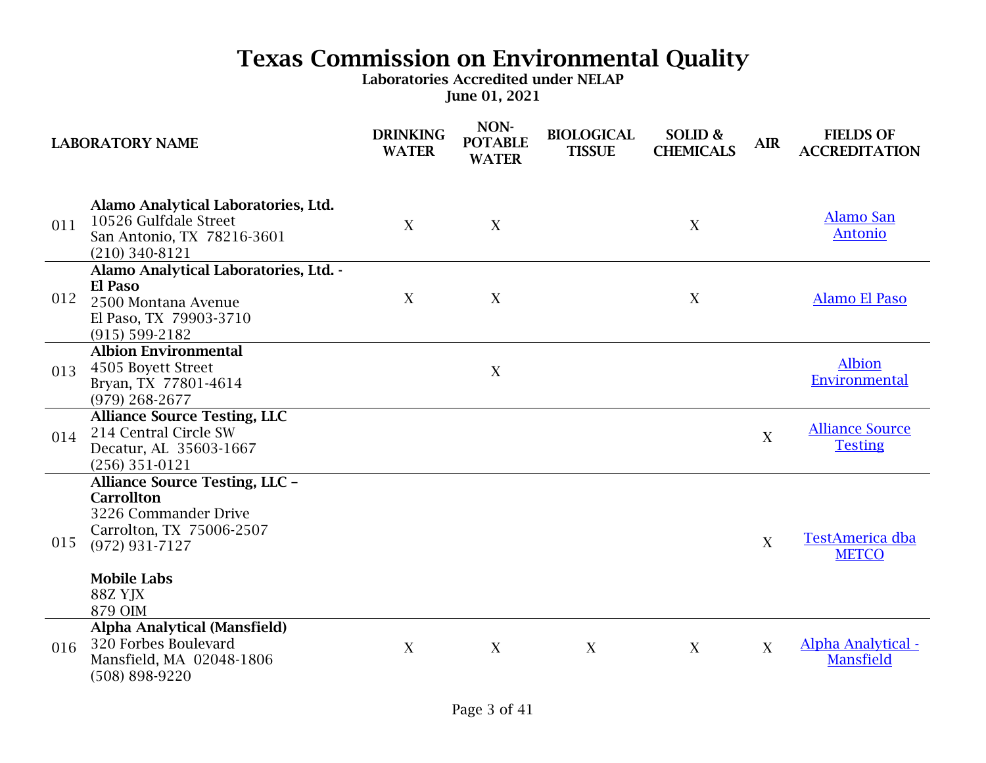|     | <b>LABORATORY NAME</b>                                                                                                                                                           | <b>DRINKING</b><br><b>WATER</b> | NON-<br><b>POTABLE</b><br><b>WATER</b> | <b>BIOLOGICAL</b><br><b>TISSUE</b> | SOLID &<br><b>CHEMICALS</b> | <b>AIR</b>       | <b>FIELDS OF</b><br><b>ACCREDITATION</b>      |
|-----|----------------------------------------------------------------------------------------------------------------------------------------------------------------------------------|---------------------------------|----------------------------------------|------------------------------------|-----------------------------|------------------|-----------------------------------------------|
| 011 | Alamo Analytical Laboratories, Ltd.<br>10526 Gulfdale Street<br>San Antonio, TX 78216-3601<br>$(210)$ 340-8121                                                                   | X                               | X                                      |                                    | X                           |                  | <b>Alamo San</b><br><b>Antonio</b>            |
| 012 | Alamo Analytical Laboratories, Ltd. -<br><b>El Paso</b><br>2500 Montana Avenue<br>El Paso, TX 79903-3710<br>$(915) 599 - 2182$                                                   | X                               | X                                      |                                    | X                           |                  | <b>Alamo El Paso</b>                          |
| 013 | <b>Albion Environmental</b><br>4505 Boyett Street<br>Bryan, TX 77801-4614<br>$(979)$ 268-2677                                                                                    |                                 | X                                      |                                    |                             |                  | <b>Albion</b><br>Environmental                |
| 014 | <b>Alliance Source Testing, LLC</b><br>214 Central Circle SW<br>Decatur, AL 35603-1667<br>$(256)$ 351-0121                                                                       |                                 |                                        |                                    |                             | $\boldsymbol{X}$ | <b>Alliance Source</b><br><b>Testing</b>      |
| 015 | <b>Alliance Source Testing, LLC -</b><br><b>Carrollton</b><br>3226 Commander Drive<br>Carrolton, TX 75006-2507<br>$(972) 931 - 7127$<br><b>Mobile Labs</b><br>88Z YJX<br>879 OIM |                                 |                                        |                                    |                             | X                | <b>TestAmerica dba</b><br><b>METCO</b>        |
| 016 | <b>Alpha Analytical (Mansfield)</b><br>320 Forbes Boulevard<br>Mansfield, MA 02048-1806<br>(508) 898-9220                                                                        | X                               | $\mathbf X$                            | X                                  | X                           | X                | <b>Alpha Analytical -</b><br><b>Mansfield</b> |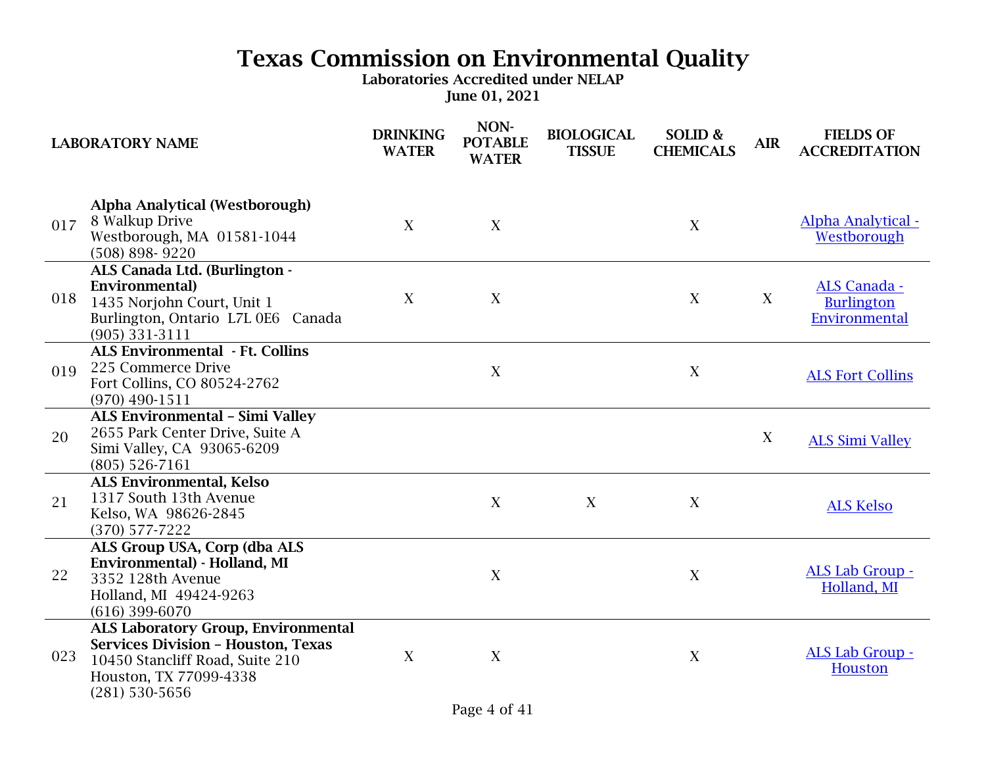| <b>LABORATORY NAME</b> |                                                                                                                                                                          | <b>DRINKING</b><br><b>WATER</b> | NON-<br><b>POTABLE</b><br><b>WATER</b> | <b>BIOLOGICAL</b><br><b>TISSUE</b> | SOLID &<br><b>CHEMICALS</b> | <b>AIR</b> | <b>FIELDS OF</b><br><b>ACCREDITATION</b>                  |
|------------------------|--------------------------------------------------------------------------------------------------------------------------------------------------------------------------|---------------------------------|----------------------------------------|------------------------------------|-----------------------------|------------|-----------------------------------------------------------|
| 017                    | <b>Alpha Analytical (Westborough)</b><br>8 Walkup Drive<br>Westborough, MA 01581-1044<br>$(508) 898 - 9220$                                                              | X                               | X                                      |                                    | X                           |            | Alpha Analytical -<br>Westborough                         |
| 018                    | ALS Canada Ltd. (Burlington -<br>Environmental)<br>1435 Norjohn Court, Unit 1<br>Burlington, Ontario L7L 0E6 Canada<br>$(905)$ 331-3111                                  | X                               | X                                      |                                    | X                           | X          | <b>ALS Canada -</b><br><b>Burlington</b><br>Environmental |
| 019                    | <b>ALS Environmental - Ft. Collins</b><br>225 Commerce Drive<br>Fort Collins, CO 80524-2762<br>$(970)$ 490-1511                                                          |                                 | X                                      |                                    | X                           |            | <b>ALS Fort Collins</b>                                   |
| 20                     | <b>ALS Environmental - Simi Valley</b><br>2655 Park Center Drive, Suite A<br>Simi Valley, CA 93065-6209<br>$(805)$ 526-7161                                              |                                 |                                        |                                    |                             | X          | <b>ALS Simi Valley</b>                                    |
| 21                     | <b>ALS Environmental, Kelso</b><br>1317 South 13th Avenue<br>Kelso, WA 98626-2845<br>$(370)$ 577-7222                                                                    |                                 | X                                      | X                                  | X                           |            | <b>ALS Kelso</b>                                          |
| 22                     | ALS Group USA, Corp (dba ALS<br>Environmental) - Holland, MI<br>3352 128th Avenue<br>Holland, MI 49424-9263<br>$(616)$ 399-6070                                          |                                 | X                                      |                                    | X                           |            | <b>ALS Lab Group -</b><br>Holland, MI                     |
| 023                    | <b>ALS Laboratory Group, Environmental</b><br><b>Services Division - Houston, Texas</b><br>10450 Stancliff Road, Suite 210<br>Houston, TX 77099-4338<br>$(281)$ 530-5656 | X                               | X                                      |                                    | X                           |            | ALS Lab Group -<br><b>Houston</b>                         |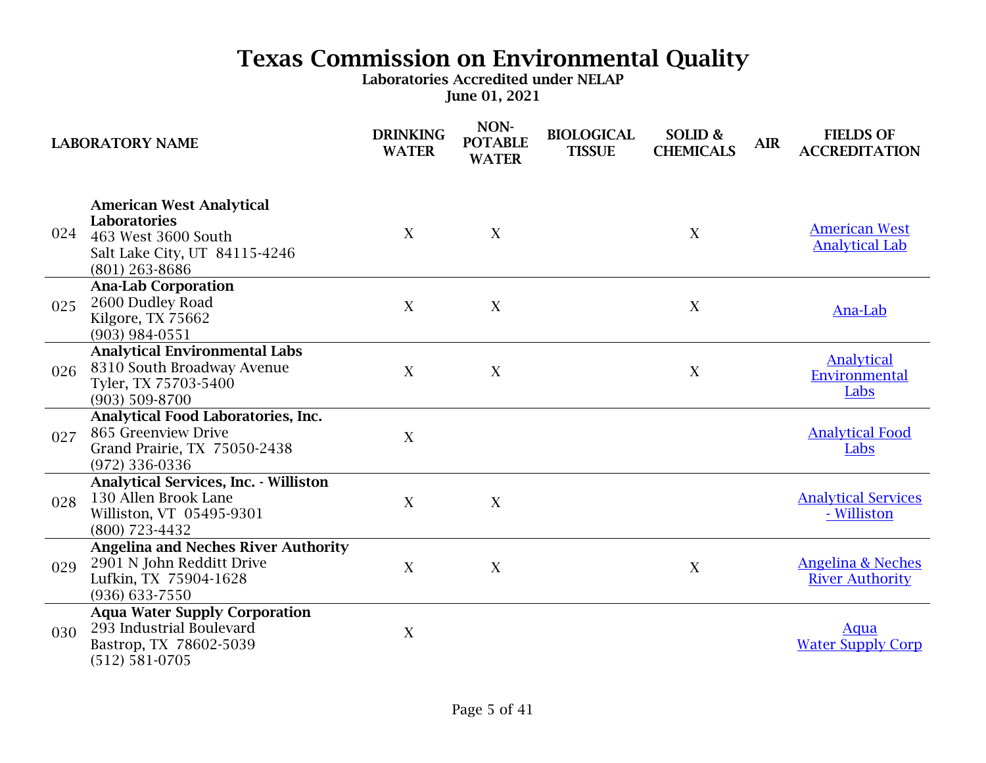|     | <b>LABORATORY NAME</b>                                                                                                             | <b>DRINKING</b><br><b>WATER</b> | NON-<br><b>POTABLE</b><br><b>WATER</b> | <b>BIOLOGICAL</b><br><b>TISSUE</b> | SOLID &<br><b>CHEMICALS</b> | <b>AIR</b> | <b>FIELDS OF</b><br><b>ACCREDITATION</b>               |
|-----|------------------------------------------------------------------------------------------------------------------------------------|---------------------------------|----------------------------------------|------------------------------------|-----------------------------|------------|--------------------------------------------------------|
| 024 | <b>American West Analytical</b><br><b>Laboratories</b><br>463 West 3600 South<br>Salt Lake City, UT 84115-4246<br>$(801)$ 263-8686 | X                               | X                                      |                                    | X                           |            | <b>American West</b><br><b>Analytical Lab</b>          |
| 025 | <b>Ana-Lab Corporation</b><br>2600 Dudley Road<br>Kilgore, TX 75662<br>$(903)$ 984-0551                                            | X                               | X                                      |                                    | X                           |            | Ana-Lab                                                |
| 026 | <b>Analytical Environmental Labs</b><br>8310 South Broadway Avenue<br>Tyler, TX 75703-5400<br>$(903) 509 - 8700$                   | $\mathbf{X}$                    | X                                      |                                    | X                           |            | Analytical<br>Environmental<br>Labs                    |
| 027 | Analytical Food Laboratories, Inc.<br>865 Greenview Drive<br>Grand Prairie, TX 75050-2438<br>(972) 336-0336                        | X                               |                                        |                                    |                             |            | <b>Analytical Food</b><br>Labs                         |
| 028 | <b>Analytical Services, Inc. - Williston</b><br>130 Allen Brook Lane<br>Williston, VT 05495-9301<br>(800) 723-4432                 | X                               | X                                      |                                    |                             |            | <b>Analytical Services</b><br>- Williston              |
| 029 | <b>Angelina and Neches River Authority</b><br>2901 N John Redditt Drive<br>Lufkin, TX 75904-1628<br>(936) 633-7550                 | X                               | X                                      |                                    | X                           |            | <b>Angelina &amp; Neches</b><br><b>River Authority</b> |
| 030 | <b>Aqua Water Supply Corporation</b><br>293 Industrial Boulevard<br>Bastrop, TX 78602-5039<br>$(512) 581 - 0705$                   | X                               |                                        |                                    |                             |            | Aqua<br><b>Water Supply Corp</b>                       |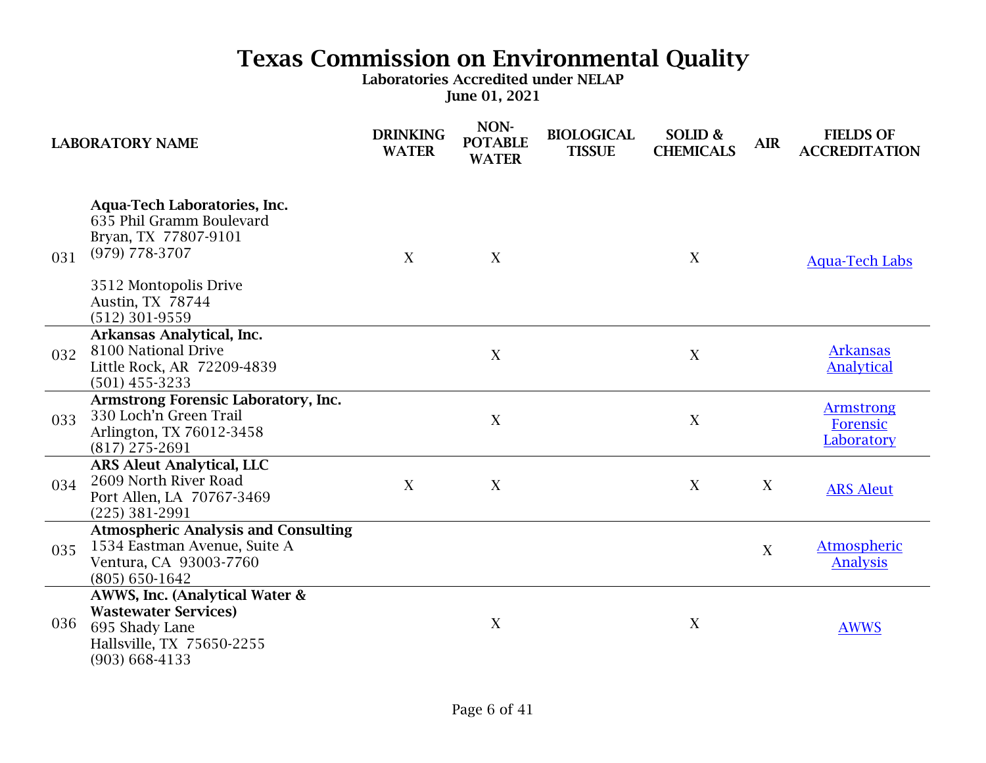|     | <b>LABORATORY NAME</b>                                                                                                                                                       | <b>DRINKING</b><br><b>WATER</b> | NON-<br><b>POTABLE</b><br><b>WATER</b> | <b>BIOLOGICAL</b><br><b>TISSUE</b> | SOLID &<br><b>CHEMICALS</b> | <b>AIR</b> | <b>FIELDS OF</b><br><b>ACCREDITATION</b>   |
|-----|------------------------------------------------------------------------------------------------------------------------------------------------------------------------------|---------------------------------|----------------------------------------|------------------------------------|-----------------------------|------------|--------------------------------------------|
| 031 | <b>Aqua-Tech Laboratories, Inc.</b><br>635 Phil Gramm Boulevard<br>Bryan, TX 77807-9101<br>$(979)$ 778-3707<br>3512 Montopolis Drive<br>Austin, TX 78744<br>$(512)$ 301-9559 | X                               | X                                      |                                    | X                           |            | <b>Aqua-Tech Labs</b>                      |
| 032 | Arkansas Analytical, Inc.<br>8100 National Drive<br>Little Rock, AR 72209-4839<br>$(501)$ 455-3233                                                                           |                                 | $\mathbf X$                            |                                    | X                           |            | <b>Arkansas</b><br><b>Analytical</b>       |
| 033 | Armstrong Forensic Laboratory, Inc.<br>330 Loch'n Green Trail<br>Arlington, TX 76012-3458<br>$(817)$ 275-2691                                                                |                                 | X                                      |                                    | $\boldsymbol{X}$            |            | <b>Armstrong</b><br>Forensic<br>Laboratory |
| 034 | <b>ARS Aleut Analytical, LLC</b><br>2609 North River Road<br>Port Allen, LA 70767-3469<br>$(225)$ 381-2991                                                                   | X                               | X                                      |                                    | X                           | X          | <b>ARS Aleut</b>                           |
| 035 | <b>Atmospheric Analysis and Consulting</b><br>1534 Eastman Avenue, Suite A<br>Ventura, CA 93003-7760<br>$(805) 650 - 1642$                                                   |                                 |                                        |                                    |                             | X          | <b>Atmospheric</b><br><b>Analysis</b>      |
| 036 | AWWS, Inc. (Analytical Water &<br><b>Wastewater Services)</b><br>695 Shady Lane<br>Hallsville, TX 75650-2255<br>$(903) 668 - 4133$                                           |                                 | X                                      |                                    | $\mathbf X$                 |            | <b>AWWS</b>                                |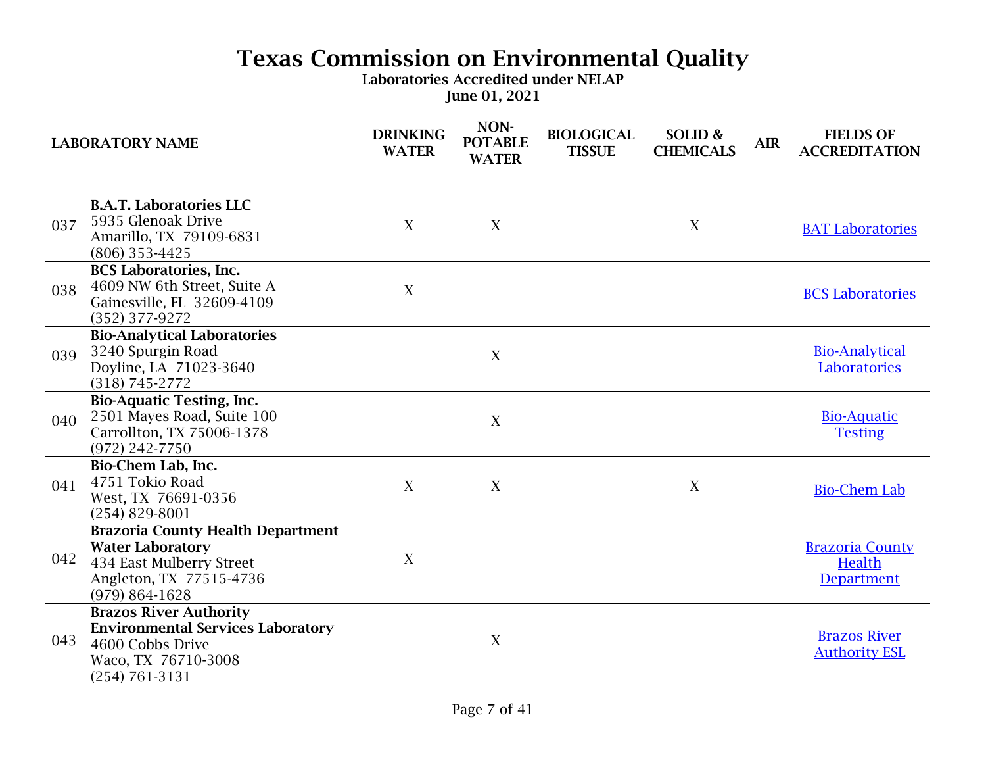|     | <b>LABORATORY NAME</b>                                                                                                                           | <b>DRINKING</b><br><b>WATER</b> | NON-<br><b>POTABLE</b><br><b>WATER</b> | <b>BIOLOGICAL</b><br><b>TISSUE</b> | SOLID &<br><b>CHEMICALS</b> | <b>AIR</b> | <b>FIELDS OF</b><br><b>ACCREDITATION</b>              |
|-----|--------------------------------------------------------------------------------------------------------------------------------------------------|---------------------------------|----------------------------------------|------------------------------------|-----------------------------|------------|-------------------------------------------------------|
| 037 | <b>B.A.T. Laboratories LLC</b><br>5935 Glenoak Drive<br>Amarillo, TX 79109-6831<br>$(806)$ 353-4425                                              | X                               | X                                      |                                    | X                           |            | <b>BAT Laboratories</b>                               |
| 038 | <b>BCS Laboratories, Inc.</b><br>4609 NW 6th Street, Suite A<br>Gainesville, FL 32609-4109<br>(352) 377-9272                                     | $\mathbf X$                     |                                        |                                    |                             |            | <b>BCS Laboratories</b>                               |
| 039 | <b>Bio-Analytical Laboratories</b><br>3240 Spurgin Road<br>Doyline, LA 71023-3640<br>$(318) 745 - 2772$                                          |                                 | X                                      |                                    |                             |            | <b>Bio-Analytical</b><br>Laboratories                 |
| 040 | <b>Bio-Aquatic Testing, Inc.</b><br>2501 Mayes Road, Suite 100<br>Carrollton, TX 75006-1378<br>$(972)$ 242-7750                                  |                                 | X                                      |                                    |                             |            | <b>Bio-Aquatic</b><br><b>Testing</b>                  |
| 041 | Bio-Chem Lab, Inc.<br>4751 Tokio Road<br>West, TX 76691-0356<br>$(254)$ 829-8001                                                                 | X                               | X                                      |                                    | X                           |            | <b>Bio-Chem Lab</b>                                   |
| 042 | <b>Brazoria County Health Department</b><br><b>Water Laboratory</b><br>434 East Mulberry Street<br>Angleton, TX 77515-4736<br>$(979) 864 - 1628$ | X                               |                                        |                                    |                             |            | <b>Brazoria County</b><br>Health<br><b>Department</b> |
| 043 | <b>Brazos River Authority</b><br><b>Environmental Services Laboratory</b><br>4600 Cobbs Drive<br>Waco, TX 76710-3008<br>$(254) 761 - 3131$       |                                 | X                                      |                                    |                             |            | <b>Brazos River</b><br><b>Authority ESL</b>           |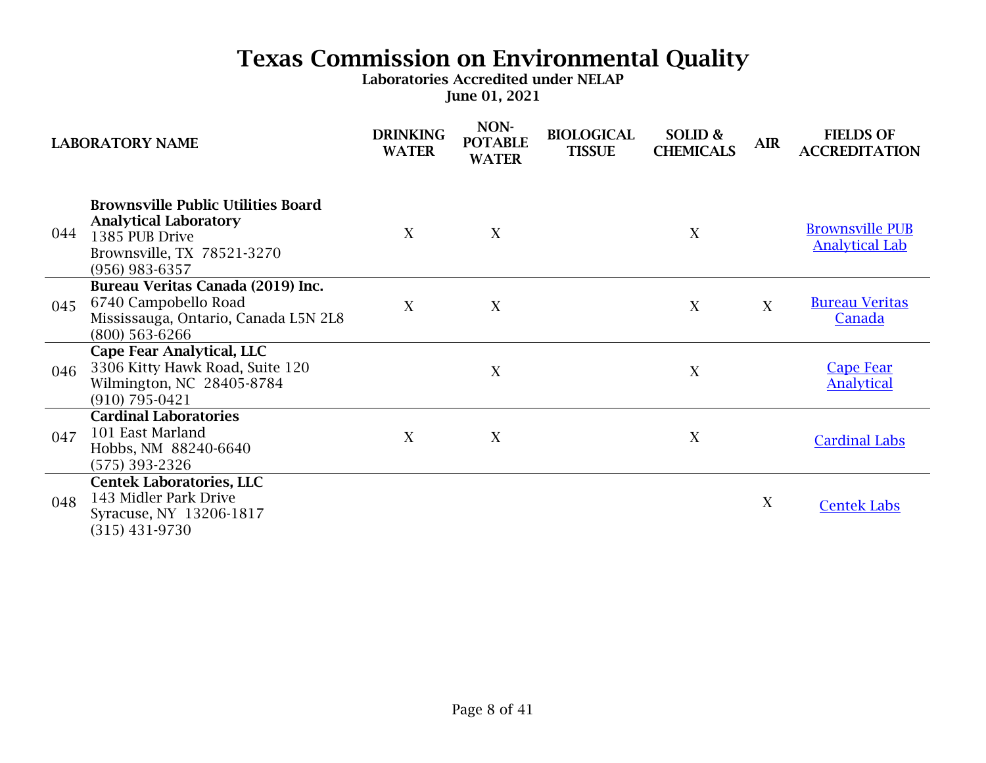| <b>LABORATORY NAME</b> |                                                                                                                                               | <b>DRINKING</b><br><b>WATER</b> | NON-<br><b>POTABLE</b><br><b>WATER</b> | <b>BIOLOGICAL</b><br><b>TISSUE</b> | SOLID &<br><b>CHEMICALS</b> | <b>AIR</b> | <b>FIELDS OF</b><br><b>ACCREDITATION</b>        |
|------------------------|-----------------------------------------------------------------------------------------------------------------------------------------------|---------------------------------|----------------------------------------|------------------------------------|-----------------------------|------------|-------------------------------------------------|
| 044                    | <b>Brownsville Public Utilities Board</b><br><b>Analytical Laboratory</b><br>1385 PUB Drive<br>Brownsville, TX 78521-3270<br>$(956)$ 983-6357 | X                               | X                                      |                                    | X                           |            | <b>Brownsville PUB</b><br><b>Analytical Lab</b> |
| 045                    | Bureau Veritas Canada (2019) Inc.<br>6740 Campobello Road<br>Mississauga, Ontario, Canada L5N 2L8<br>$(800)$ 563-6266                         | X                               | X                                      |                                    | X                           | X          | <b>Bureau Veritas</b><br>Canada                 |
| 046                    | Cape Fear Analytical, LLC<br>3306 Kitty Hawk Road, Suite 120<br>Wilmington, NC 28405-8784<br>$(910) 795 - 0421$                               |                                 | X                                      |                                    | X                           |            | <b>Cape Fear</b><br><b>Analytical</b>           |
| 047                    | <b>Cardinal Laboratories</b><br>101 East Marland<br>Hobbs, NM 88240-6640<br>(575) 393-2326                                                    | X                               | X                                      |                                    | X                           |            | <b>Cardinal Labs</b>                            |
| 048                    | <b>Centek Laboratories, LLC</b><br>143 Midler Park Drive<br>Syracuse, NY 13206-1817<br>$(315)$ 431-9730                                       |                                 |                                        |                                    |                             | X          | <b>Centek Labs</b>                              |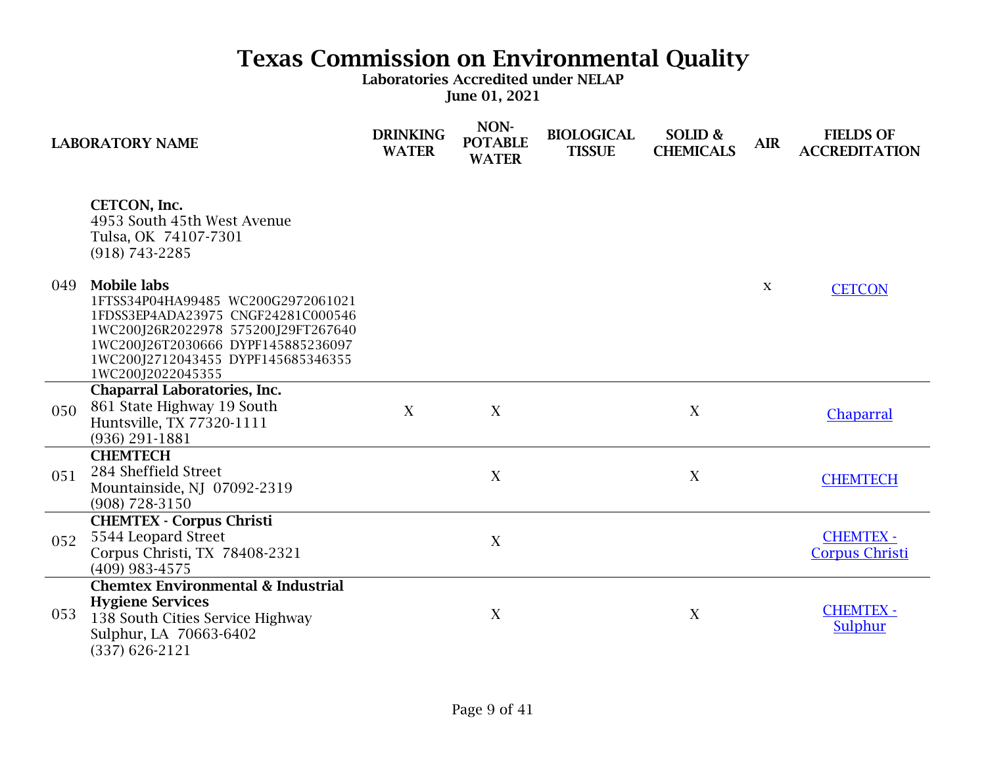|     | <b>LABORATORY NAME</b>                                                                                                                                                                                                                 | <b>DRINKING</b><br><b>WATER</b> | NON-<br><b>POTABLE</b><br><b>WATER</b> | <b>BIOLOGICAL</b><br><b>TISSUE</b> | SOLID &<br><b>CHEMICALS</b> | <b>AIR</b>   | <b>FIELDS OF</b><br><b>ACCREDITATION</b>  |
|-----|----------------------------------------------------------------------------------------------------------------------------------------------------------------------------------------------------------------------------------------|---------------------------------|----------------------------------------|------------------------------------|-----------------------------|--------------|-------------------------------------------|
|     | CETCON, Inc.<br>4953 South 45th West Avenue<br>Tulsa, OK 74107-7301<br>$(918) 743 - 2285$                                                                                                                                              |                                 |                                        |                                    |                             |              |                                           |
| 049 | <b>Mobile labs</b><br>1FTSS34P04HA99485 WC200G2972061021<br>1FDSS3EP4ADA23975 CNGF24281C000546<br>1WC200J26R2022978 575200J29FT267640<br>1WC200J26T2030666 DYPF145885236097<br>1WC200J2712043455 DYPF145685346355<br>1WC200J2022045355 |                                 |                                        |                                    |                             | $\mathbf{X}$ | <b>CETCON</b>                             |
| 050 | <b>Chaparral Laboratories, Inc.</b><br>861 State Highway 19 South<br>Huntsville, TX 77320-1111<br>$(936)$ 291-1881                                                                                                                     | X                               | X                                      |                                    | X                           |              | Chaparral                                 |
| 051 | <b>CHEMTECH</b><br>284 Sheffield Street<br>Mountainside, NJ 07092-2319<br>$(908) 728 - 3150$                                                                                                                                           |                                 | X                                      |                                    | X                           |              | <b>CHEMTECH</b>                           |
| 052 | <b>CHEMTEX - Corpus Christi</b><br>5544 Leopard Street<br>Corpus Christi, TX 78408-2321<br>$(409)$ 983-4575                                                                                                                            |                                 | X                                      |                                    |                             |              | <b>CHEMTEX -</b><br><b>Corpus Christi</b> |
| 053 | <b>Chemtex Environmental &amp; Industrial</b><br><b>Hygiene Services</b><br>138 South Cities Service Highway<br>Sulphur, LA 70663-6402<br>$(337)$ 626-2121                                                                             |                                 | $\mathbf X$                            |                                    | X                           |              | <b>CHEMTEX -</b><br>Sulphur               |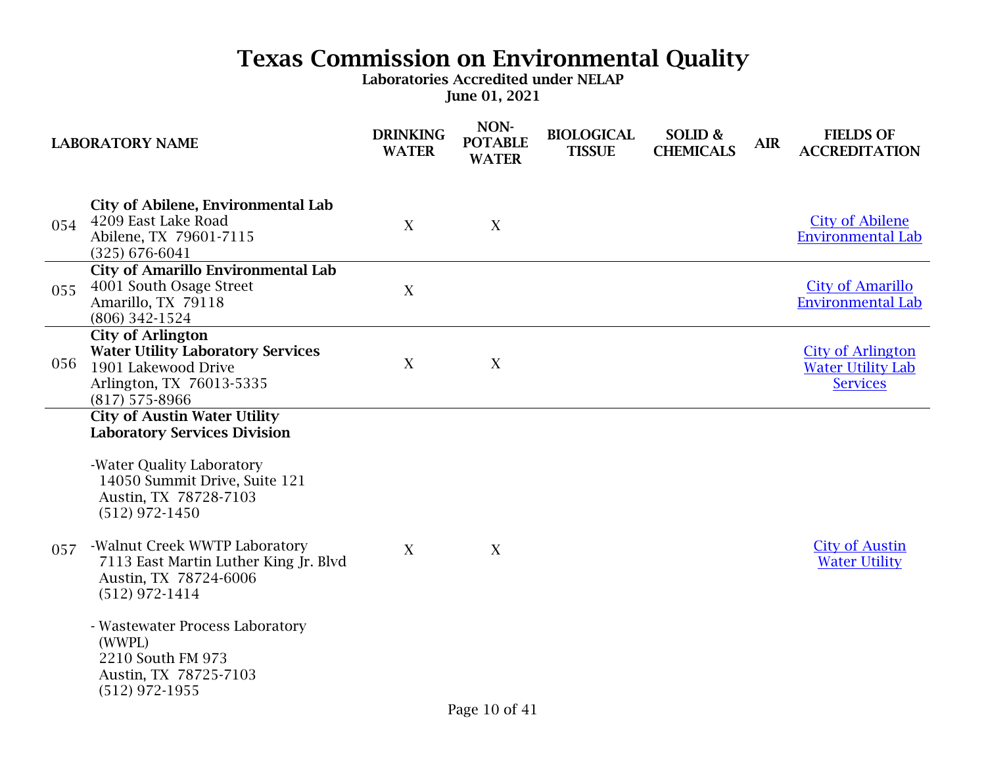|     | <b>LABORATORY NAME</b>                                                                                                                                                                                                                                                                                                                                                                                                      | <b>DRINKING</b><br><b>WATER</b> | NON-<br><b>POTABLE</b><br><b>WATER</b> | <b>BIOLOGICAL</b><br><b>TISSUE</b> | SOLID &<br><b>CHEMICALS</b> | <b>AIR</b> | <b>FIELDS OF</b><br><b>ACCREDITATION</b>                                |
|-----|-----------------------------------------------------------------------------------------------------------------------------------------------------------------------------------------------------------------------------------------------------------------------------------------------------------------------------------------------------------------------------------------------------------------------------|---------------------------------|----------------------------------------|------------------------------------|-----------------------------|------------|-------------------------------------------------------------------------|
| 054 | <b>City of Abilene, Environmental Lab</b><br>4209 East Lake Road<br>Abilene, TX 79601-7115<br>$(325) 676 - 6041$                                                                                                                                                                                                                                                                                                            | X                               | X                                      |                                    |                             |            | <b>City of Abilene</b><br><b>Environmental Lab</b>                      |
| 055 | <b>City of Amarillo Environmental Lab</b><br>4001 South Osage Street<br>Amarillo, TX 79118<br>(806) 342-1524                                                                                                                                                                                                                                                                                                                | X                               |                                        |                                    |                             |            | <b>City of Amarillo</b><br><b>Environmental Lab</b>                     |
| 056 | <b>City of Arlington</b><br><b>Water Utility Laboratory Services</b><br>1901 Lakewood Drive<br>Arlington, TX 76013-5335<br>$(817)$ 575-8966                                                                                                                                                                                                                                                                                 | X                               | X                                      |                                    |                             |            | <b>City of Arlington</b><br><b>Water Utility Lab</b><br><b>Services</b> |
| 057 | <b>City of Austin Water Utility</b><br><b>Laboratory Services Division</b><br>-Water Quality Laboratory<br>14050 Summit Drive, Suite 121<br>Austin, TX 78728-7103<br>$(512)$ 972-1450<br>-Walnut Creek WWTP Laboratory<br>7113 East Martin Luther King Jr. Blvd<br>Austin, TX 78724-6006<br>$(512)$ 972-1414<br>- Wastewater Process Laboratory<br>(WWPL)<br>2210 South FM 973<br>Austin, TX 78725-7103<br>$(512)$ 972-1955 | X                               | X                                      |                                    |                             |            | <b>City of Austin</b><br><b>Water Utility</b>                           |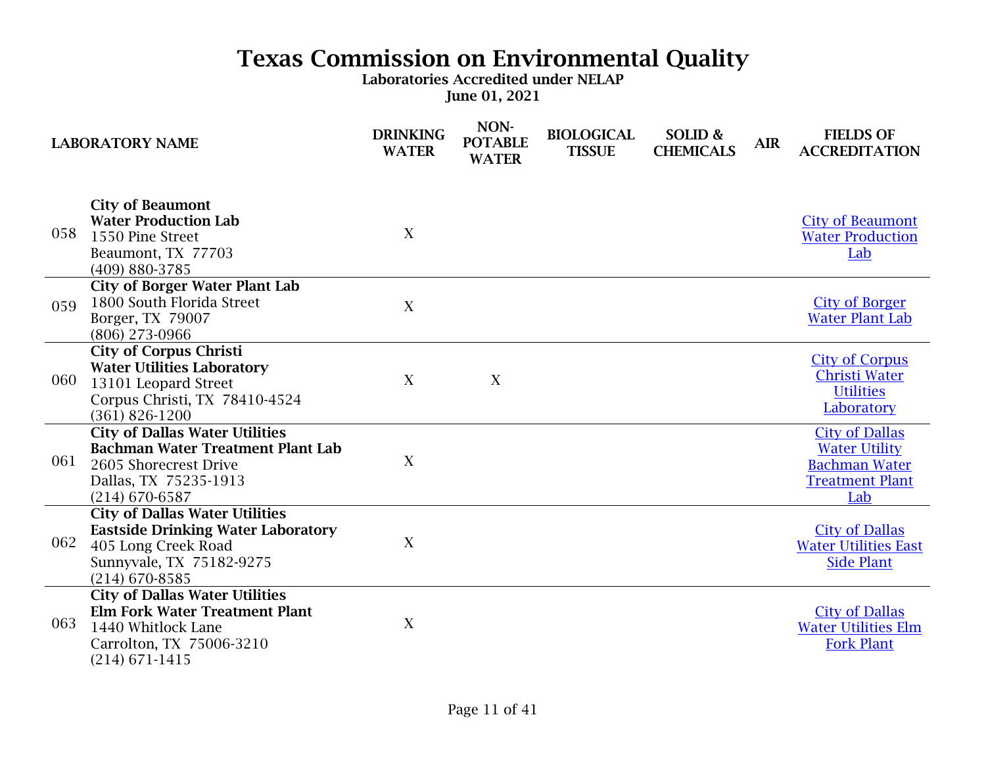|     | <b>LABORATORY NAME</b>                                                                                                                                    | <b>DRINKING</b><br><b>WATER</b> | NON-<br><b>POTABLE</b><br><b>WATER</b> | <b>BIOLOGICAL</b><br><b>TISSUE</b> | SOLID &<br><b>CHEMICALS</b> | <b>AIR</b> | <b>FIELDS OF</b><br><b>ACCREDITATION</b>                                                               |
|-----|-----------------------------------------------------------------------------------------------------------------------------------------------------------|---------------------------------|----------------------------------------|------------------------------------|-----------------------------|------------|--------------------------------------------------------------------------------------------------------|
| 058 | <b>City of Beaumont</b><br><b>Water Production Lab</b><br>1550 Pine Street<br>Beaumont, TX 77703<br>(409) 880-3785                                        | X                               |                                        |                                    |                             |            | <b>City of Beaumont</b><br><b>Water Production</b><br>Lab                                              |
| 059 | <b>City of Borger Water Plant Lab</b><br>1800 South Florida Street<br>Borger, TX 79007<br>(806) 273-0966                                                  | X                               |                                        |                                    |                             |            | <b>City of Borger</b><br><b>Water Plant Lab</b>                                                        |
| 060 | <b>City of Corpus Christi</b><br><b>Water Utilities Laboratory</b><br>13101 Leopard Street<br>Corpus Christi, TX 78410-4524<br>$(361) 826 - 1200$         | X                               | X                                      |                                    |                             |            | <b>City of Corpus</b><br><b>Christi Water</b><br><b>Utilities</b><br>Laboratory                        |
| 061 | <b>City of Dallas Water Utilities</b><br><b>Bachman Water Treatment Plant Lab</b><br>2605 Shorecrest Drive<br>Dallas, TX 75235-1913<br>$(214)$ 670-6587   | X                               |                                        |                                    |                             |            | <b>City of Dallas</b><br><b>Water Utility</b><br><b>Bachman Water</b><br><b>Treatment Plant</b><br>Lab |
| 062 | <b>City of Dallas Water Utilities</b><br><b>Eastside Drinking Water Laboratory</b><br>405 Long Creek Road<br>Sunnyvale, TX 75182-9275<br>$(214)$ 670-8585 | X                               |                                        |                                    |                             |            | <b>City of Dallas</b><br><b>Water Utilities East</b><br><b>Side Plant</b>                              |
| 063 | <b>City of Dallas Water Utilities</b><br><b>Elm Fork Water Treatment Plant</b><br>1440 Whitlock Lane<br>Carrolton, TX 75006-3210<br>$(214) 671 - 1415$    | X                               |                                        |                                    |                             |            | <b>City of Dallas</b><br><b>Water Utilities Elm</b><br><b>Fork Plant</b>                               |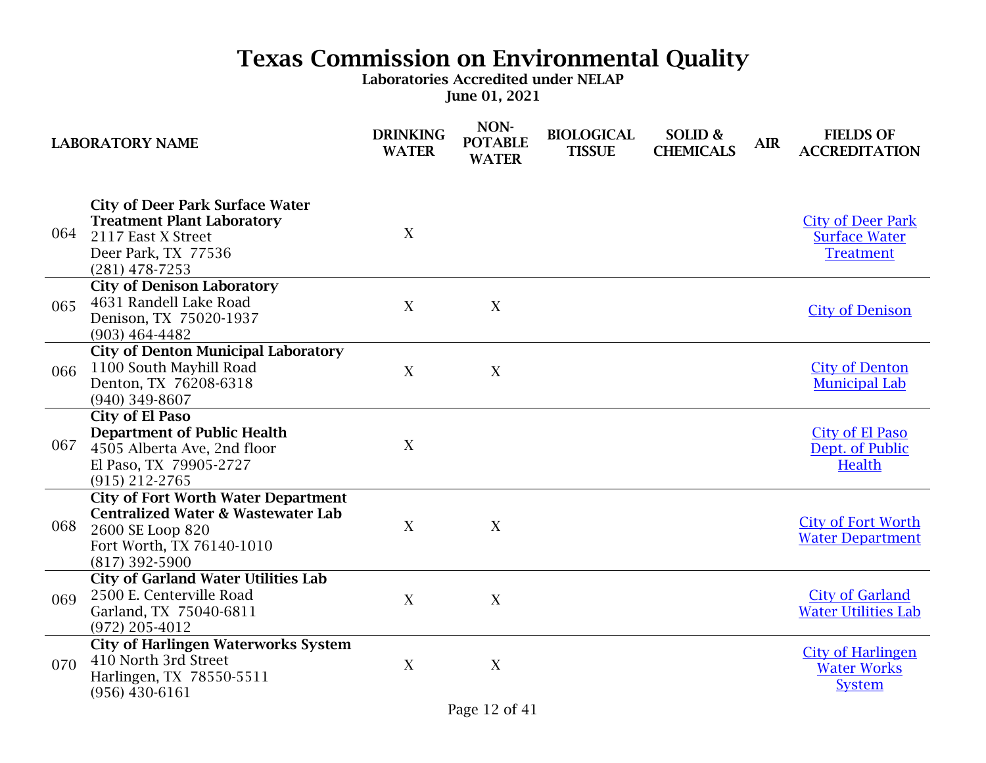|     | <b>LABORATORY NAME</b>                                                                                                                                           | <b>DRINKING</b><br><b>WATER</b> | NON-<br><b>POTABLE</b><br><b>WATER</b> | <b>BIOLOGICAL</b><br><b>TISSUE</b> | SOLID &<br><b>CHEMICALS</b> | <b>AIR</b> | <b>FIELDS OF</b><br><b>ACCREDITATION</b>                             |
|-----|------------------------------------------------------------------------------------------------------------------------------------------------------------------|---------------------------------|----------------------------------------|------------------------------------|-----------------------------|------------|----------------------------------------------------------------------|
| 064 | <b>City of Deer Park Surface Water</b><br><b>Treatment Plant Laboratory</b><br>2117 East X Street<br>Deer Park, TX 77536<br>$(281)$ 478-7253                     | X                               |                                        |                                    |                             |            | <b>City of Deer Park</b><br><b>Surface Water</b><br><b>Treatment</b> |
| 065 | <b>City of Denison Laboratory</b><br>4631 Randell Lake Road<br>Denison, TX 75020-1937<br>$(903)$ 464-4482                                                        | X                               | $\mathbf X$                            |                                    |                             |            | <b>City of Denison</b>                                               |
| 066 | <b>City of Denton Municipal Laboratory</b><br>1100 South Mayhill Road<br>Denton, TX 76208-6318<br>$(940)$ 349-8607                                               | X                               | X                                      |                                    |                             |            | <b>City of Denton</b><br><b>Municipal Lab</b>                        |
| 067 | <b>City of El Paso</b><br><b>Department of Public Health</b><br>4505 Alberta Ave, 2nd floor<br>El Paso, TX 79905-2727<br>$(915)$ 212-2765                        | X                               |                                        |                                    |                             |            | City of El Paso<br>Dept. of Public<br><b>Health</b>                  |
| 068 | <b>City of Fort Worth Water Department</b><br><b>Centralized Water &amp; Wastewater Lab</b><br>2600 SE Loop 820<br>Fort Worth, TX 76140-1010<br>$(817)$ 392-5900 | X                               | X                                      |                                    |                             |            | <b>City of Fort Worth</b><br><b>Water Department</b>                 |
| 069 | <b>City of Garland Water Utilities Lab</b><br>2500 E. Centerville Road<br>Garland, TX 75040-6811<br>$(972)$ 205-4012                                             | X                               | X                                      |                                    |                             |            | <b>City of Garland</b><br><b>Water Utilities Lab</b>                 |
| 070 | <b>City of Harlingen Waterworks System</b><br>410 North 3rd Street<br>Harlingen, TX 78550-5511<br>$(956)$ 430-6161                                               | X                               | $\mathbf X$                            |                                    |                             |            | <b>City of Harlingen</b><br><b>Water Works</b><br><b>System</b>      |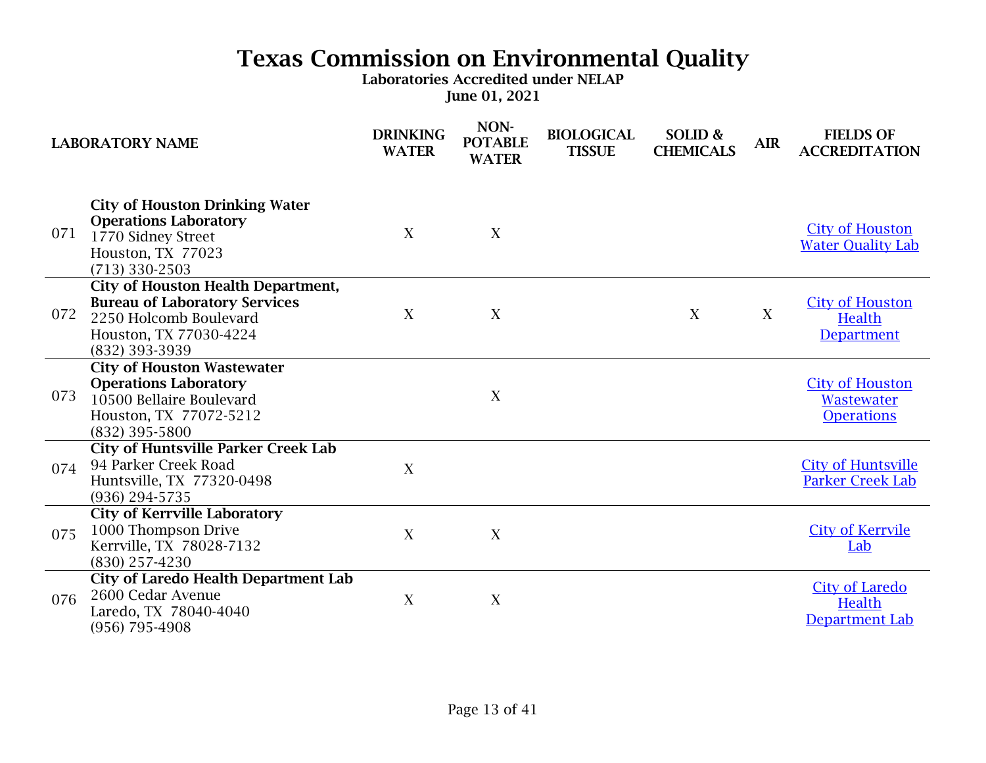|     | <b>LABORATORY NAME</b>                                                                                                                                  | <b>DRINKING</b><br><b>WATER</b> | NON-<br><b>POTABLE</b><br><b>WATER</b> | <b>BIOLOGICAL</b><br><b>TISSUE</b> | SOLID &<br><b>CHEMICALS</b> | <b>AIR</b> | <b>FIELDS OF</b><br><b>ACCREDITATION</b>                  |
|-----|---------------------------------------------------------------------------------------------------------------------------------------------------------|---------------------------------|----------------------------------------|------------------------------------|-----------------------------|------------|-----------------------------------------------------------|
| 071 | <b>City of Houston Drinking Water</b><br><b>Operations Laboratory</b><br>1770 Sidney Street<br>Houston, TX 77023<br>$(713)$ 330-2503                    | X                               | X                                      |                                    |                             |            | <b>City of Houston</b><br><b>Water Quality Lab</b>        |
| 072 | <b>City of Houston Health Department,</b><br><b>Bureau of Laboratory Services</b><br>2250 Holcomb Boulevard<br>Houston, TX 77030-4224<br>(832) 393-3939 | X                               | X                                      |                                    | X                           | X          | <b>City of Houston</b><br><b>Health</b><br>Department     |
| 073 | <b>City of Houston Wastewater</b><br><b>Operations Laboratory</b><br>10500 Bellaire Boulevard<br>Houston, TX 77072-5212<br>(832) 395-5800               |                                 | X                                      |                                    |                             |            | <b>City of Houston</b><br>Wastewater<br><b>Operations</b> |
| 074 | <b>City of Huntsville Parker Creek Lab</b><br>94 Parker Creek Road<br>Huntsville, TX 77320-0498<br>(936) 294-5735                                       | X                               |                                        |                                    |                             |            | <b>City of Huntsville</b><br><b>Parker Creek Lab</b>      |
| 075 | <b>City of Kerrville Laboratory</b><br>1000 Thompson Drive<br>Kerrville, TX 78028-7132<br>$(830)$ 257-4230                                              | X                               | X                                      |                                    |                             |            | <b>City of Kerryile</b><br>Lab                            |
| 076 | <b>City of Laredo Health Department Lab</b><br>2600 Cedar Avenue<br>Laredo, TX 78040-4040<br>(956) 795-4908                                             | X                               | X                                      |                                    |                             |            | <b>City of Laredo</b><br>Health<br>Department Lab         |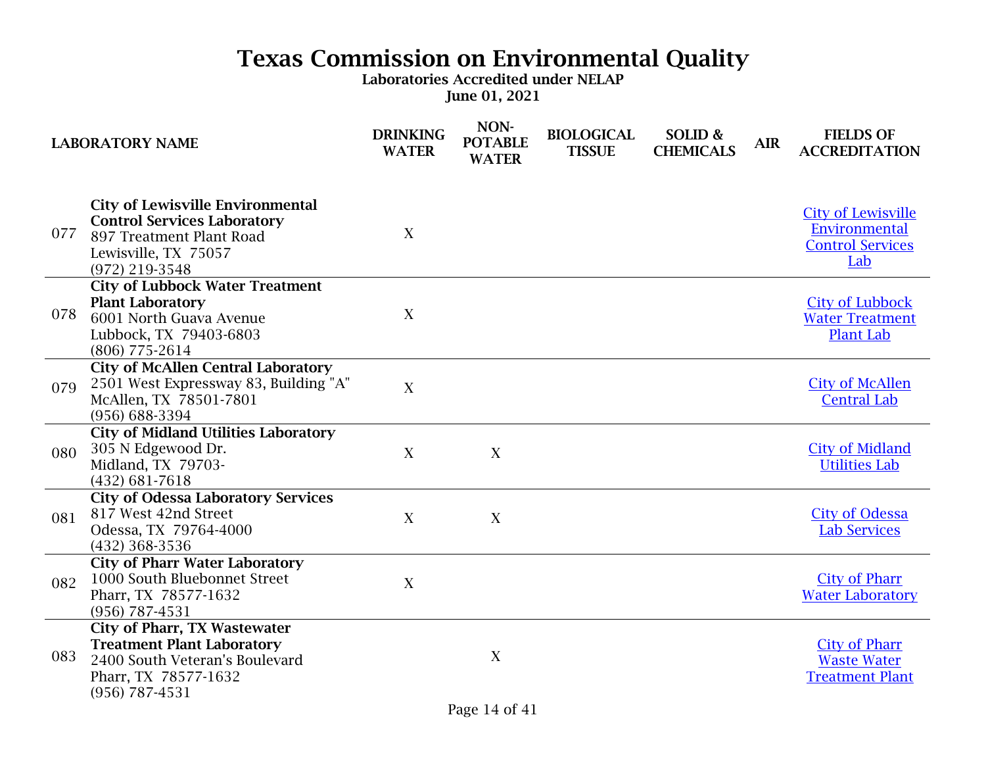|     | <b>LABORATORY NAME</b>                                                                                                                               | <b>DRINKING</b><br><b>WATER</b> | NON-<br><b>POTABLE</b><br><b>WATER</b> | <b>BIOLOGICAL</b><br><b>TISSUE</b> | SOLID &<br><b>CHEMICALS</b> | <b>AIR</b> | <b>FIELDS OF</b><br><b>ACCREDITATION</b>                                     |
|-----|------------------------------------------------------------------------------------------------------------------------------------------------------|---------------------------------|----------------------------------------|------------------------------------|-----------------------------|------------|------------------------------------------------------------------------------|
| 077 | <b>City of Lewisville Environmental</b><br><b>Control Services Laboratory</b><br>897 Treatment Plant Road<br>Lewisville, TX 75057<br>(972) 219-3548  | X                               |                                        |                                    |                             |            | <b>City of Lewisville</b><br>Environmental<br><b>Control Services</b><br>Lab |
| 078 | <b>City of Lubbock Water Treatment</b><br><b>Plant Laboratory</b><br>6001 North Guava Avenue<br>Lubbock, TX 79403-6803<br>(806) 775-2614             | X                               |                                        |                                    |                             |            | <b>City of Lubbock</b><br><b>Water Treatment</b><br><b>Plant Lab</b>         |
| 079 | <b>City of McAllen Central Laboratory</b><br>2501 West Expressway 83, Building "A"<br>McAllen, TX 78501-7801<br>(956) 688-3394                       | X                               |                                        |                                    |                             |            | <b>City of McAllen</b><br><b>Central Lab</b>                                 |
| 080 | <b>City of Midland Utilities Laboratory</b><br>305 N Edgewood Dr.<br>Midland, TX 79703-<br>$(432) 681 - 7618$                                        | X                               | X                                      |                                    |                             |            | <b>City of Midland</b><br><b>Utilities Lab</b>                               |
| 081 | <b>City of Odessa Laboratory Services</b><br>817 West 42nd Street<br>Odessa, TX 79764-4000<br>(432) 368-3536                                         | X                               | X                                      |                                    |                             |            | <b>City of Odessa</b><br><b>Lab Services</b>                                 |
| 082 | <b>City of Pharr Water Laboratory</b><br>1000 South Bluebonnet Street<br>Pharr, TX 78577-1632<br>$(956) 787 - 4531$                                  | X                               |                                        |                                    |                             |            | <b>City of Pharr</b><br><b>Water Laboratory</b>                              |
| 083 | <b>City of Pharr, TX Wastewater</b><br><b>Treatment Plant Laboratory</b><br>2400 South Veteran's Boulevard<br>Pharr, TX 78577-1632<br>(956) 787-4531 |                                 | X                                      |                                    |                             |            | <b>City of Pharr</b><br><b>Waste Water</b><br><b>Treatment Plant</b>         |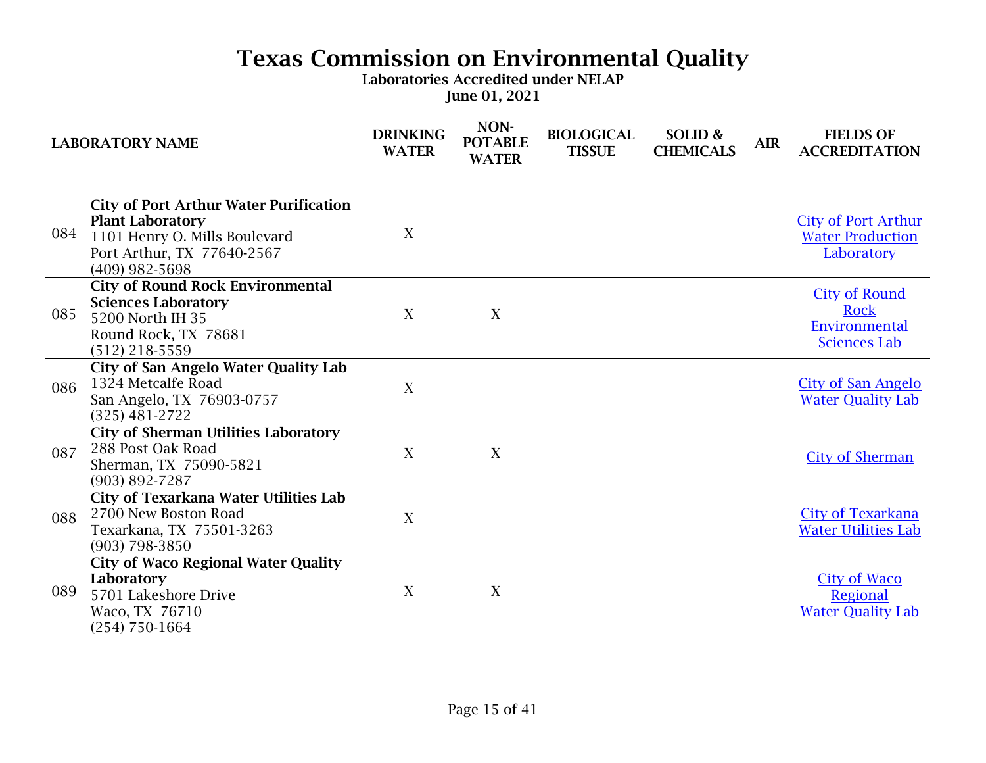|     | <b>LABORATORY NAME</b>                                                                                                                                      | <b>DRINKING</b><br><b>WATER</b> | NON-<br><b>POTABLE</b><br><b>WATER</b> | <b>BIOLOGICAL</b><br><b>TISSUE</b> | SOLID &<br><b>CHEMICALS</b> | <b>AIR</b> | <b>FIELDS OF</b><br><b>ACCREDITATION</b>                                    |
|-----|-------------------------------------------------------------------------------------------------------------------------------------------------------------|---------------------------------|----------------------------------------|------------------------------------|-----------------------------|------------|-----------------------------------------------------------------------------|
| 084 | <b>City of Port Arthur Water Purification</b><br><b>Plant Laboratory</b><br>1101 Henry O. Mills Boulevard<br>Port Arthur, TX 77640-2567<br>$(409)$ 982-5698 | X                               |                                        |                                    |                             |            | <b>City of Port Arthur</b><br><b>Water Production</b><br>Laboratory         |
| 085 | <b>City of Round Rock Environmental</b><br><b>Sciences Laboratory</b><br>5200 North IH 35<br>Round Rock, TX 78681<br>$(512)$ 218-5559                       | X                               | X                                      |                                    |                             |            | <b>City of Round</b><br><b>Rock</b><br>Environmental<br><b>Sciences Lab</b> |
| 086 | <b>City of San Angelo Water Quality Lab</b><br>1324 Metcalfe Road<br>San Angelo, TX 76903-0757<br>$(325)$ 481-2722                                          | X                               |                                        |                                    |                             |            | <b>City of San Angelo</b><br><b>Water Quality Lab</b>                       |
| 087 | <b>City of Sherman Utilities Laboratory</b><br>288 Post Oak Road<br>Sherman, TX 75090-5821<br>$(903) 892 - 7287$                                            | X                               | X                                      |                                    |                             |            | <b>City of Sherman</b>                                                      |
| 088 | <b>City of Texarkana Water Utilities Lab</b><br>2700 New Boston Road<br>Texarkana, TX 75501-3263<br>$(903)$ 798-3850                                        | X                               |                                        |                                    |                             |            | <b>City of Texarkana</b><br><b>Water Utilities Lab</b>                      |
| 089 | <b>City of Waco Regional Water Quality</b><br>Laboratory<br>5701 Lakeshore Drive<br>Waco, TX 76710<br>$(254)$ 750-1664                                      | X                               | X                                      |                                    |                             |            | <b>City of Waco</b><br>Regional<br><b>Water Quality Lab</b>                 |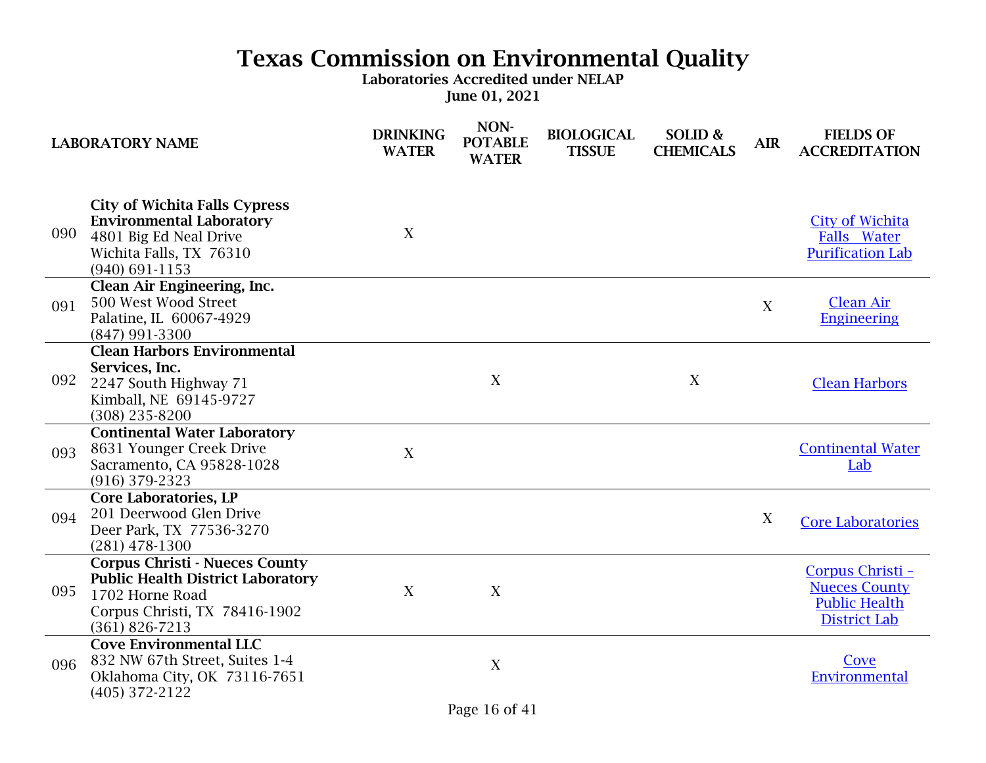|     | <b>LABORATORY NAME</b>                                                                                                                                      | <b>DRINKING</b><br><b>WATER</b> | NON-<br><b>POTABLE</b><br><b>WATER</b> | <b>BIOLOGICAL</b><br><b>TISSUE</b> | SOLID &<br><b>CHEMICALS</b> | <b>AIR</b> | <b>FIELDS OF</b><br><b>ACCREDITATION</b>                                                |
|-----|-------------------------------------------------------------------------------------------------------------------------------------------------------------|---------------------------------|----------------------------------------|------------------------------------|-----------------------------|------------|-----------------------------------------------------------------------------------------|
| 090 | <b>City of Wichita Falls Cypress</b><br><b>Environmental Laboratory</b><br>4801 Big Ed Neal Drive<br>Wichita Falls, TX 76310<br>$(940) 691 - 1153$          | X                               |                                        |                                    |                             |            | <b>City of Wichita</b><br>Falls Water<br><b>Purification Lab</b>                        |
| 091 | Clean Air Engineering, Inc.<br>500 West Wood Street<br>Palatine, IL 60067-4929<br>(847) 991-3300                                                            |                                 |                                        |                                    |                             | X          | <b>Clean Air</b><br><b>Engineering</b>                                                  |
| 092 | <b>Clean Harbors Environmental</b><br>Services, Inc.<br>2247 South Highway 71<br>Kimball, NE 69145-9727<br>$(308)$ 235-8200                                 |                                 | X                                      |                                    | X                           |            | <b>Clean Harbors</b>                                                                    |
| 093 | <b>Continental Water Laboratory</b><br>8631 Younger Creek Drive<br>Sacramento, CA 95828-1028<br>$(916)$ 379-2323                                            | X                               |                                        |                                    |                             |            | <b>Continental Water</b><br>Lab                                                         |
| 094 | <b>Core Laboratories, LP</b><br>201 Deerwood Glen Drive<br>Deer Park, TX 77536-3270<br>$(281)$ 478-1300                                                     |                                 |                                        |                                    |                             | X          | <b>Core Laboratories</b>                                                                |
| 095 | <b>Corpus Christi - Nueces County</b><br><b>Public Health District Laboratory</b><br>1702 Horne Road<br>Corpus Christi, TX 78416-1902<br>$(361) 826 - 7213$ | X                               | X                                      |                                    |                             |            | Corpus Christi -<br><b>Nueces County</b><br><b>Public Health</b><br><b>District Lab</b> |
| 096 | <b>Cove Environmental LLC</b><br>832 NW 67th Street, Suites 1-4<br>Oklahoma City, OK 73116-7651<br>$(405)$ 372-2122                                         |                                 | X                                      |                                    |                             |            | Cove<br>Environmental                                                                   |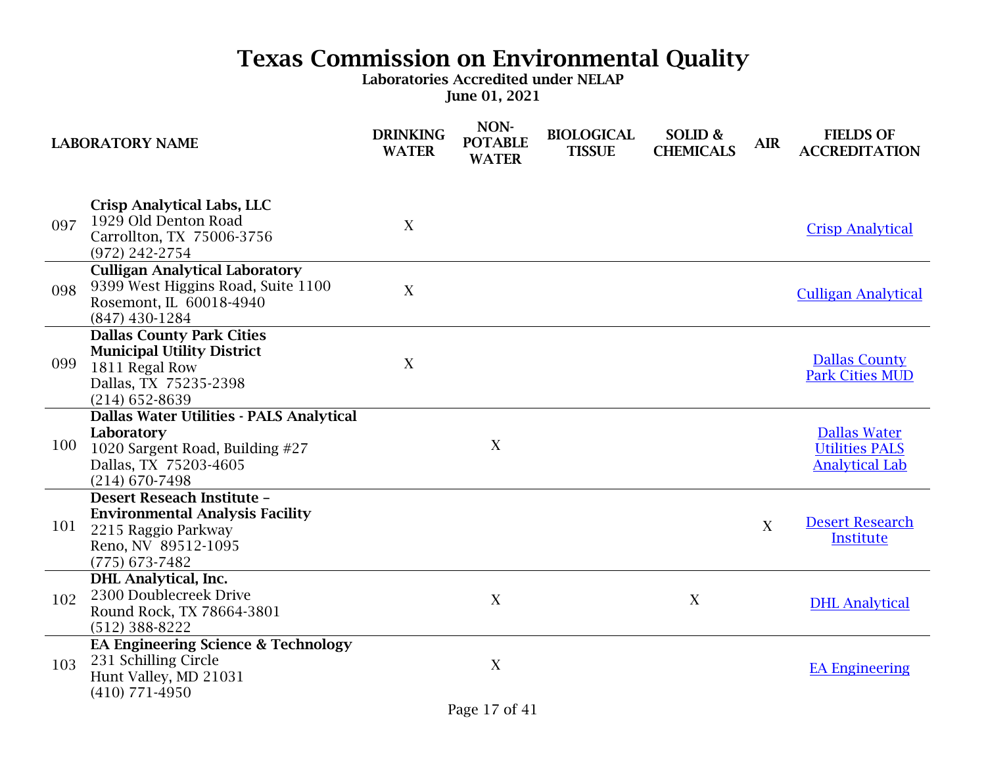|     | <b>LABORATORY NAME</b>                                                                                                                 | <b>DRINKING</b><br><b>WATER</b> | NON-<br><b>POTABLE</b><br><b>WATER</b> | <b>BIOLOGICAL</b><br><b>TISSUE</b> | SOLID &<br><b>CHEMICALS</b> | <b>AIR</b> | <b>FIELDS OF</b><br><b>ACCREDITATION</b>                              |
|-----|----------------------------------------------------------------------------------------------------------------------------------------|---------------------------------|----------------------------------------|------------------------------------|-----------------------------|------------|-----------------------------------------------------------------------|
| 097 | Crisp Analytical Labs, LLC<br>1929 Old Denton Road<br>Carrollton, TX 75006-3756<br>(972) 242-2754                                      | X                               |                                        |                                    |                             |            | <b>Crisp Analytical</b>                                               |
| 098 | <b>Culligan Analytical Laboratory</b><br>9399 West Higgins Road, Suite 1100<br>Rosemont, IL 60018-4940<br>$(847)$ 430-1284             | X                               |                                        |                                    |                             |            | <b>Culligan Analytical</b>                                            |
| 099 | <b>Dallas County Park Cities</b><br><b>Municipal Utility District</b><br>1811 Regal Row<br>Dallas, TX 75235-2398<br>$(214)$ 652-8639   | X                               |                                        |                                    |                             |            | <b>Dallas County</b><br><b>Park Cities MUD</b>                        |
| 100 | Dallas Water Utilities - PALS Analytical<br>Laboratory<br>1020 Sargent Road, Building #27<br>Dallas, TX 75203-4605<br>$(214)$ 670-7498 |                                 | X                                      |                                    |                             |            | <b>Dallas Water</b><br><b>Utilities PALS</b><br><b>Analytical Lab</b> |
| 101 | Desert Reseach Institute -<br><b>Environmental Analysis Facility</b><br>2215 Raggio Parkway<br>Reno, NV 89512-1095<br>$(775)$ 673-7482 |                                 |                                        |                                    |                             | X          | <b>Desert Research</b><br><b>Institute</b>                            |
| 102 | <b>DHL</b> Analytical, Inc.<br>2300 Doublecreek Drive<br>Round Rock, TX 78664-3801<br>$(512)$ 388-8222                                 |                                 | X                                      |                                    | X                           |            | <b>DHL</b> Analytical                                                 |
| 103 | <b>EA Engineering Science &amp; Technology</b><br>231 Schilling Circle<br>Hunt Valley, MD 21031<br>$(410)$ 771-4950                    |                                 | X                                      |                                    |                             |            | <b>EA Engineering</b>                                                 |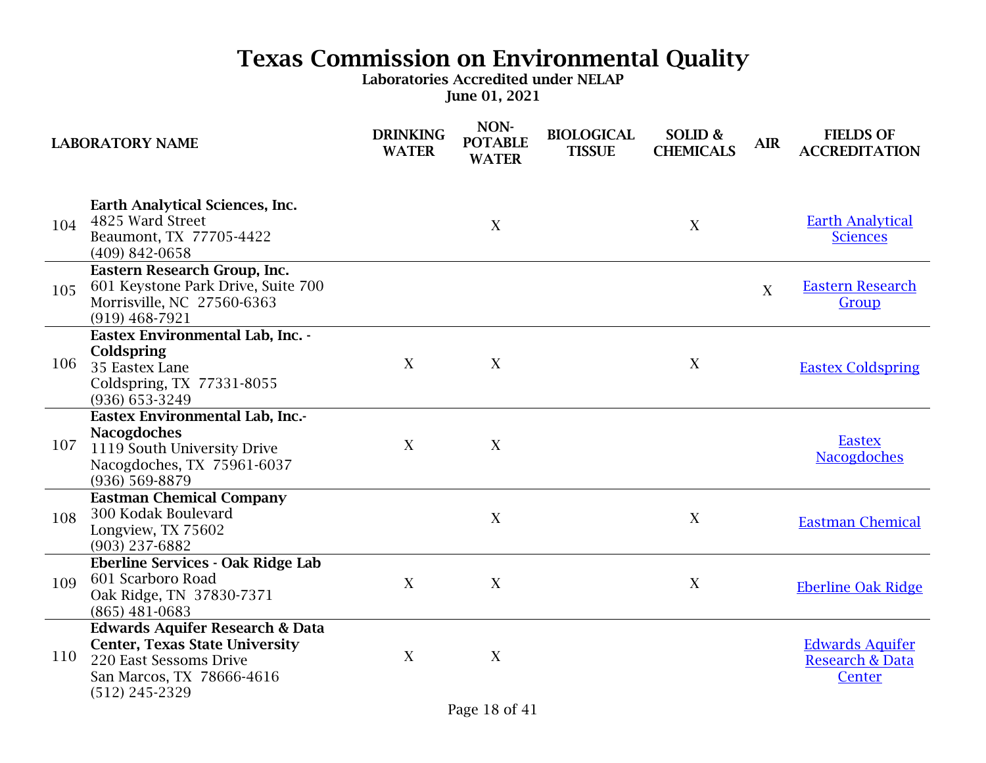|     | <b>LABORATORY NAME</b>                                                                                                                                         | <b>DRINKING</b><br><b>WATER</b> | NON-<br><b>POTABLE</b><br><b>WATER</b> | <b>BIOLOGICAL</b><br><b>TISSUE</b> | SOLID &<br><b>CHEMICALS</b> | <b>AIR</b> | <b>FIELDS OF</b><br><b>ACCREDITATION</b>                       |
|-----|----------------------------------------------------------------------------------------------------------------------------------------------------------------|---------------------------------|----------------------------------------|------------------------------------|-----------------------------|------------|----------------------------------------------------------------|
| 104 | Earth Analytical Sciences, Inc.<br>4825 Ward Street<br>Beaumont, TX 77705-4422<br>$(409)$ 842-0658                                                             |                                 | X                                      |                                    | X                           |            | <b>Earth Analytical</b><br><b>Sciences</b>                     |
| 105 | Eastern Research Group, Inc.<br>601 Keystone Park Drive, Suite 700<br>Morrisville, NC 27560-6363<br>$(919)$ 468-7921                                           |                                 |                                        |                                    |                             | X          | <b>Eastern Research</b><br>Group                               |
| 106 | Eastex Environmental Lab, Inc. -<br>Coldspring<br>35 Eastex Lane<br>Coldspring, TX 77331-8055<br>(936) 653-3249                                                | X                               | X                                      |                                    | X                           |            | <b>Eastex Coldspring</b>                                       |
| 107 | Eastex Environmental Lab, Inc.-<br><b>Nacogdoches</b><br>1119 South University Drive<br>Nacogdoches, TX 75961-6037<br>(936) 569-8879                           | X                               | X                                      |                                    |                             |            | <b>Eastex</b><br><b>Nacogdoches</b>                            |
| 108 | <b>Eastman Chemical Company</b><br>300 Kodak Boulevard<br>Longview, TX 75602<br>(903) 237-6882                                                                 |                                 | X                                      |                                    | X                           |            | <b>Eastman Chemical</b>                                        |
| 109 | Eberline Services - Oak Ridge Lab<br>601 Scarboro Road<br>Oak Ridge, TN 37830-7371<br>$(865)$ 481-0683                                                         | X                               | X                                      |                                    | X                           |            | <b>Eberline Oak Ridge</b>                                      |
| 110 | <b>Edwards Aquifer Research &amp; Data</b><br><b>Center, Texas State University</b><br>220 East Sessoms Drive<br>San Marcos, TX 78666-4616<br>$(512)$ 245-2329 | X                               | X                                      |                                    |                             |            | <b>Edwards Aquifer</b><br><b>Research &amp; Data</b><br>Center |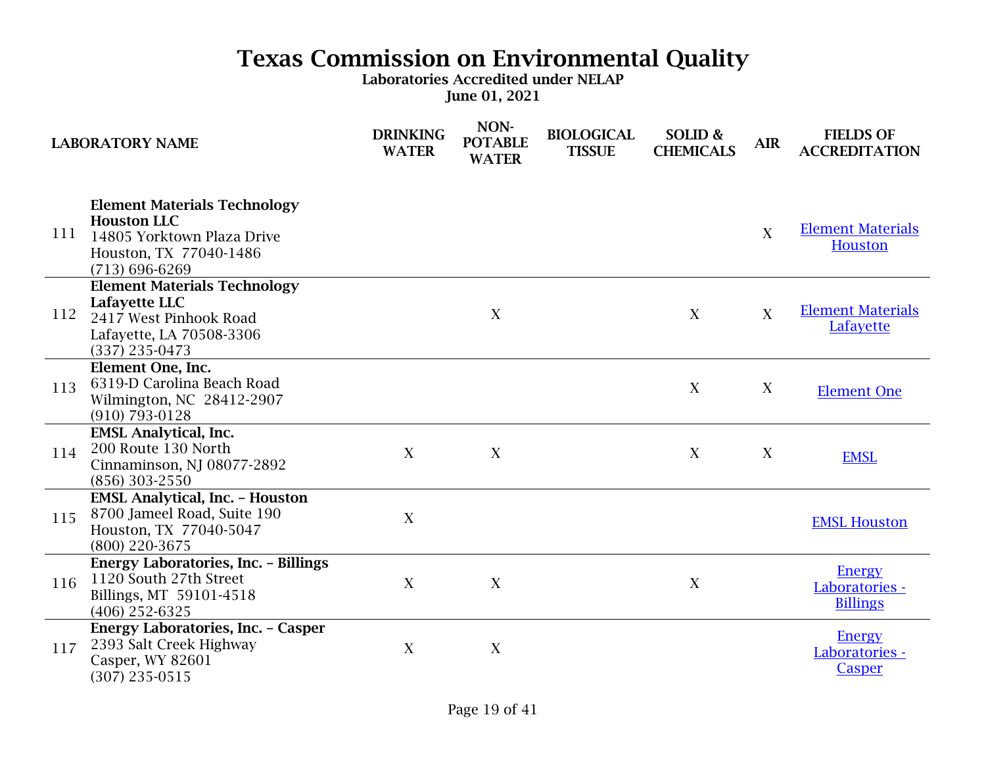|     | <b>LABORATORY NAME</b>                                                                                                                  | <b>DRINKING</b><br><b>WATER</b> | NON-<br><b>POTABLE</b><br><b>WATER</b> | <b>BIOLOGICAL</b><br><b>TISSUE</b> | SOLID &<br><b>CHEMICALS</b> | <b>AIR</b>       | <b>FIELDS OF</b><br><b>ACCREDITATION</b>           |
|-----|-----------------------------------------------------------------------------------------------------------------------------------------|---------------------------------|----------------------------------------|------------------------------------|-----------------------------|------------------|----------------------------------------------------|
| 111 | <b>Element Materials Technology</b><br><b>Houston LLC</b><br>14805 Yorktown Plaza Drive<br>Houston, TX 77040-1486<br>$(713) 696 - 6269$ |                                 |                                        |                                    |                             | X                | <b>Element Materials</b><br><b>Houston</b>         |
| 112 | <b>Element Materials Technology</b><br>Lafayette LLC<br>2417 West Pinhook Road<br>Lafayette, LA 70508-3306<br>$(337)$ 235-0473          |                                 | X                                      |                                    | X                           | $\boldsymbol{X}$ | <b>Element Materials</b><br>Lafayette              |
| 113 | Element One, Inc.<br>6319-D Carolina Beach Road<br>Wilmington, NC 28412-2907<br>$(910) 793 - 0128$                                      |                                 |                                        |                                    | X                           | X                | <b>Element One</b>                                 |
| 114 | <b>EMSL Analytical, Inc.</b><br>200 Route 130 North<br>Cinnaminson, NJ 08077-2892<br>(856) 303-2550                                     | X                               | X                                      |                                    | X                           | X                | <b>EMSL</b>                                        |
| 115 | <b>EMSL Analytical, Inc. - Houston</b><br>8700 Jameel Road, Suite 190<br>Houston, TX 77040-5047<br>(800) 220-3675                       | X                               |                                        |                                    |                             |                  | <b>EMSL Houston</b>                                |
| 116 | Energy Laboratories, Inc. - Billings<br>1120 South 27th Street<br>Billings, MT 59101-4518<br>$(406)$ 252-6325                           | X                               | X                                      |                                    | X                           |                  | <b>Energy</b><br>Laboratories -<br><b>Billings</b> |
| 117 | Energy Laboratories, Inc. - Casper<br>2393 Salt Creek Highway<br>Casper, WY 82601<br>$(307)$ 235-0515                                   | X                               | $\mathbf X$                            |                                    |                             |                  | <b>Energy</b><br>Laboratories -<br>Casper          |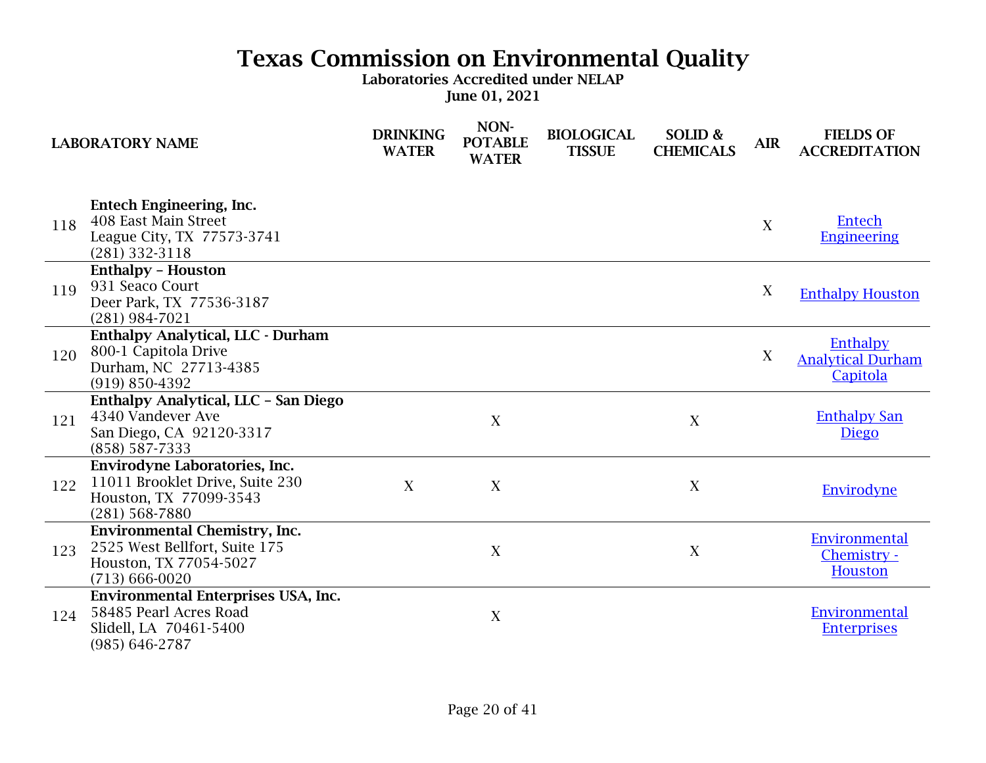|     | <b>LABORATORY NAME</b>                                                                                                | <b>DRINKING</b><br><b>WATER</b> | NON-<br><b>POTABLE</b><br><b>WATER</b> | <b>BIOLOGICAL</b><br><b>TISSUE</b> | SOLID &<br><b>CHEMICALS</b> | <b>AIR</b> | <b>FIELDS OF</b><br><b>ACCREDITATION</b>         |
|-----|-----------------------------------------------------------------------------------------------------------------------|---------------------------------|----------------------------------------|------------------------------------|-----------------------------|------------|--------------------------------------------------|
| 118 | <b>Entech Engineering, Inc.</b><br>408 East Main Street<br>League City, TX 77573-3741<br>$(281)$ 332-3118             |                                 |                                        |                                    |                             | X          | Entech<br><b>Engineering</b>                     |
| 119 | <b>Enthalpy - Houston</b><br>931 Seaco Court<br>Deer Park, TX 77536-3187<br>$(281)$ 984-7021                          |                                 |                                        |                                    |                             | X          | <b>Enthalpy Houston</b>                          |
| 120 | <b>Enthalpy Analytical, LLC - Durham</b><br>800-1 Capitola Drive<br>Durham, NC 27713-4385<br>$(919) 850 - 4392$       |                                 |                                        |                                    |                             | X          | Enthalpy<br><b>Analytical Durham</b><br>Capitola |
| 121 | Enthalpy Analytical, LLC - San Diego<br>4340 Vandever Ave<br>San Diego, CA 92120-3317<br>(858) 587-7333               |                                 | X                                      |                                    | X                           |            | <b>Enthalpy San</b><br><b>Diego</b>              |
| 122 | Envirodyne Laboratories, Inc.<br>11011 Brooklet Drive, Suite 230<br>Houston, TX 77099-3543<br>$(281)$ 568-7880        | X                               | X                                      |                                    | X                           |            | Envirodyne                                       |
| 123 | <b>Environmental Chemistry, Inc.</b><br>2525 West Bellfort, Suite 175<br>Houston, TX 77054-5027<br>$(713) 666 - 0020$ |                                 | X                                      |                                    | X                           |            | Environmental<br>Chemistry -<br>Houston          |
| 124 | Environmental Enterprises USA, Inc.<br>58485 Pearl Acres Road<br>Slidell, LA 70461-5400<br>$(985) 646 - 2787$         |                                 | $\mathbf X$                            |                                    |                             |            | Environmental<br><b>Enterprises</b>              |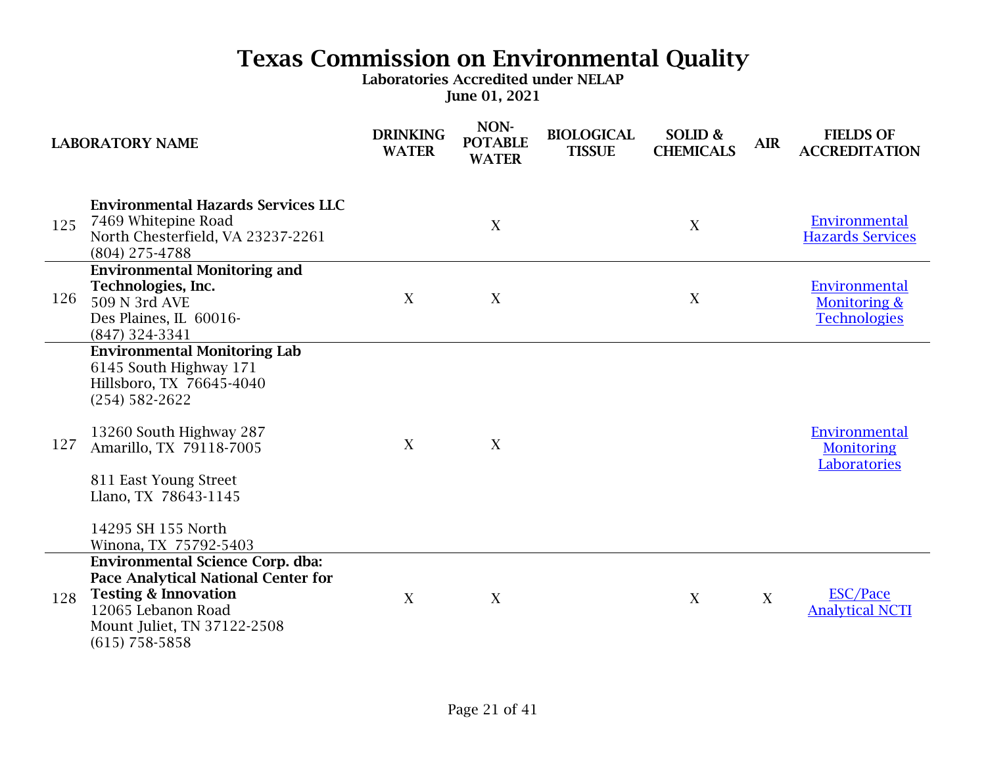|     | <b>LABORATORY NAME</b>                                                                                                                                                                                                                                                | <b>DRINKING</b><br><b>WATER</b> | NON-<br><b>POTABLE</b><br><b>WATER</b> | <b>BIOLOGICAL</b><br><b>TISSUE</b> | SOLID &<br><b>CHEMICALS</b> | <b>AIR</b> | <b>FIELDS OF</b><br><b>ACCREDITATION</b>             |
|-----|-----------------------------------------------------------------------------------------------------------------------------------------------------------------------------------------------------------------------------------------------------------------------|---------------------------------|----------------------------------------|------------------------------------|-----------------------------|------------|------------------------------------------------------|
| 125 | <b>Environmental Hazards Services LLC</b><br>7469 Whitepine Road<br>North Chesterfield, VA 23237-2261<br>$(804)$ 275-4788                                                                                                                                             |                                 | X                                      |                                    | X                           |            | Environmental<br><b>Hazards Services</b>             |
| 126 | <b>Environmental Monitoring and</b><br>Technologies, Inc.<br>509 N 3rd AVE<br>Des Plaines, IL 60016-<br>(847) 324-3341                                                                                                                                                | X                               | X                                      |                                    | X                           |            | Environmental<br>Monitoring &<br><b>Technologies</b> |
| 127 | <b>Environmental Monitoring Lab</b><br>6145 South Highway 171<br>Hillsboro, TX 76645-4040<br>$(254) 582 - 2622$<br>13260 South Highway 287<br>Amarillo, TX 79118-7005<br>811 East Young Street<br>Llano, TX 78643-1145<br>14295 SH 155 North<br>Winona, TX 75792-5403 | X                               | X                                      |                                    |                             |            | Environmental<br><b>Monitoring</b><br>Laboratories   |
| 128 | <b>Environmental Science Corp. dba:</b><br>Pace Analytical National Center for<br><b>Testing &amp; Innovation</b><br>12065 Lebanon Road<br>Mount Juliet, TN 37122-2508<br>$(615)$ 758-5858                                                                            | X                               | X                                      |                                    | X                           | X          | <b>ESC/Pace</b><br><b>Analytical NCTI</b>            |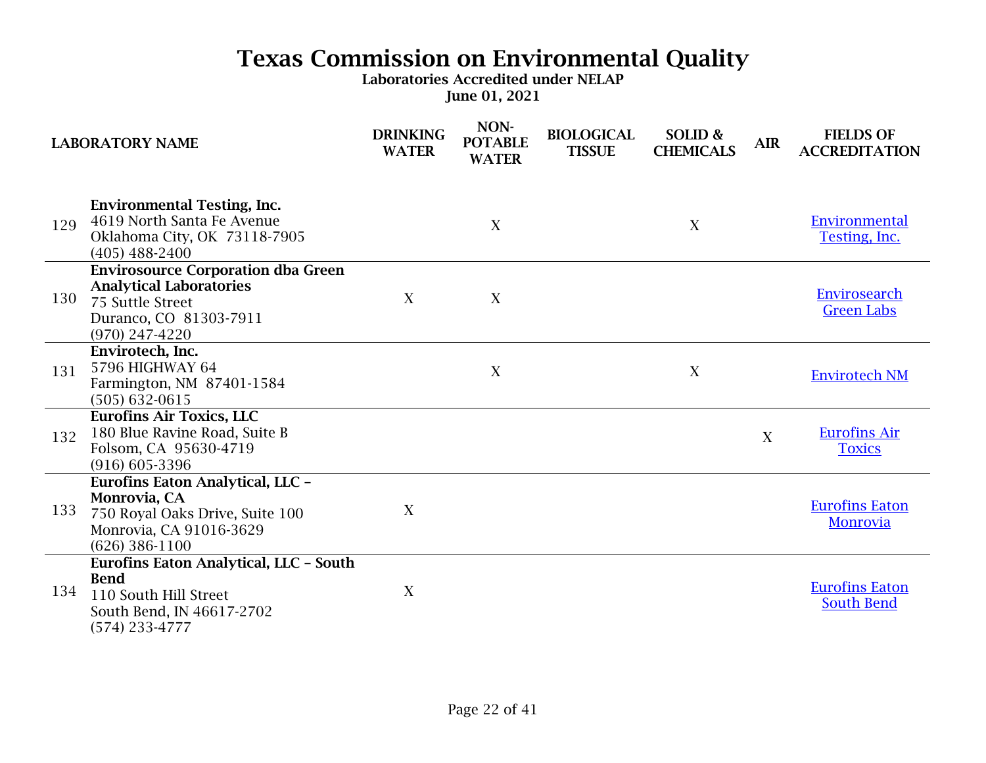| <b>LABORATORY NAME</b> |                                                                                                                                               | <b>DRINKING</b><br><b>WATER</b> | NON-<br><b>POTABLE</b><br><b>WATER</b> | <b>BIOLOGICAL</b><br><b>TISSUE</b> | SOLID &<br><b>CHEMICALS</b> | <b>AIR</b> | <b>FIELDS OF</b><br><b>ACCREDITATION</b>   |
|------------------------|-----------------------------------------------------------------------------------------------------------------------------------------------|---------------------------------|----------------------------------------|------------------------------------|-----------------------------|------------|--------------------------------------------|
| 129                    | <b>Environmental Testing, Inc.</b><br>4619 North Santa Fe Avenue<br>Oklahoma City, OK 73118-7905<br>$(405)$ 488-2400                          |                                 | X                                      |                                    | X                           |            | Environmental<br>Testing, Inc.             |
| 130                    | <b>Envirosource Corporation dba Green</b><br><b>Analytical Laboratories</b><br>75 Suttle Street<br>Duranco, CO 81303-7911<br>$(970)$ 247-4220 | X                               | $\mathbf X$                            |                                    |                             |            | Envirosearch<br><b>Green Labs</b>          |
| 131                    | Envirotech, Inc.<br>5796 HIGHWAY 64<br>Farmington, NM 87401-1584<br>$(505) 632 - 0615$                                                        |                                 | X                                      |                                    | X                           |            | <b>Envirotech NM</b>                       |
| 132                    | <b>Eurofins Air Toxics, LLC</b><br>180 Blue Ravine Road, Suite B<br>Folsom, CA 95630-4719<br>$(916) 605 - 3396$                               |                                 |                                        |                                    |                             | X          | <b>Eurofins Air</b><br><b>Toxics</b>       |
| 133                    | Eurofins Eaton Analytical, LLC -<br>Monrovia, CA<br>750 Royal Oaks Drive, Suite 100<br>Monrovia, CA 91016-3629<br>$(626)$ 386-1100            | X                               |                                        |                                    |                             |            | <b>Eurofins Eaton</b><br>Monrovia          |
| 134                    | Eurofins Eaton Analytical, LLC - South<br><b>Bend</b><br>110 South Hill Street<br>South Bend, IN 46617-2702<br>$(574)$ 233-4777               | X                               |                                        |                                    |                             |            | <b>Eurofins Eaton</b><br><b>South Bend</b> |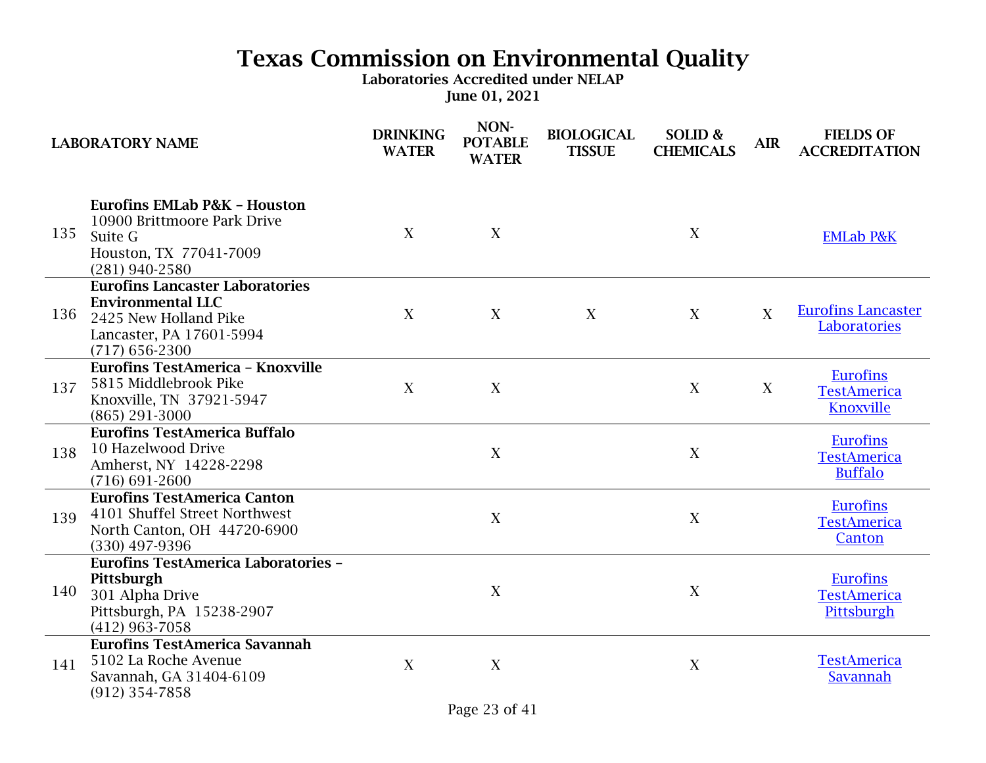|     | <b>LABORATORY NAME</b>                                                                                                                      | <b>DRINKING</b><br><b>WATER</b> | NON-<br><b>POTABLE</b><br><b>WATER</b> | <b>BIOLOGICAL</b><br><b>TISSUE</b> | SOLID &<br><b>CHEMICALS</b> | <b>AIR</b> | <b>FIELDS OF</b><br><b>ACCREDITATION</b>                |
|-----|---------------------------------------------------------------------------------------------------------------------------------------------|---------------------------------|----------------------------------------|------------------------------------|-----------------------------|------------|---------------------------------------------------------|
| 135 | <b>Eurofins EMLab P&amp;K - Houston</b><br>10900 Brittmoore Park Drive<br>Suite G<br>Houston, TX 77041-7009<br>$(281)$ 940-2580             | $\overline{X}$                  | X                                      |                                    | X                           |            | <b>EMLab P&amp;K</b>                                    |
| 136 | <b>Eurofins Lancaster Laboratories</b><br><b>Environmental LLC</b><br>2425 New Holland Pike<br>Lancaster, PA 17601-5994<br>$(717)$ 656-2300 | X                               | X                                      | X                                  | $\boldsymbol{X}$            | X          | <b>Eurofins Lancaster</b><br>Laboratories               |
| 137 | <b>Eurofins TestAmerica - Knoxville</b><br>5815 Middlebrook Pike<br>Knoxville, TN 37921-5947<br>$(865)$ 291-3000                            | X                               | X                                      |                                    | X                           | X          | <b>Eurofins</b><br><b>TestAmerica</b><br>Knoxville      |
| 138 | <b>Eurofins TestAmerica Buffalo</b><br>10 Hazelwood Drive<br>Amherst, NY 14228-2298<br>$(716) 691 - 2600$                                   |                                 | $\mathbf X$                            |                                    | $\mathbf X$                 |            | <b>Eurofins</b><br><b>TestAmerica</b><br><b>Buffalo</b> |
| 139 | <b>Eurofins TestAmerica Canton</b><br>4101 Shuffel Street Northwest<br>North Canton, OH 44720-6900<br>(330) 497-9396                        |                                 | X                                      |                                    | X                           |            | <b>Eurofins</b><br><b>TestAmerica</b><br>Canton         |
| 140 | <b>Eurofins TestAmerica Laboratories -</b><br>Pittsburgh<br>301 Alpha Drive<br>Pittsburgh, PA 15238-2907<br>$(412)$ 963-7058                |                                 | $\mathbf X$                            |                                    | $\boldsymbol{X}$            |            | <b>Eurofins</b><br><b>TestAmerica</b><br>Pittsburgh     |
| 141 | <b>Eurofins TestAmerica Savannah</b><br>5102 La Roche Avenue<br>Savannah, GA 31404-6109<br>$(912)$ 354-7858                                 | X                               | X                                      |                                    | X                           |            | <b>TestAmerica</b><br>Savannah                          |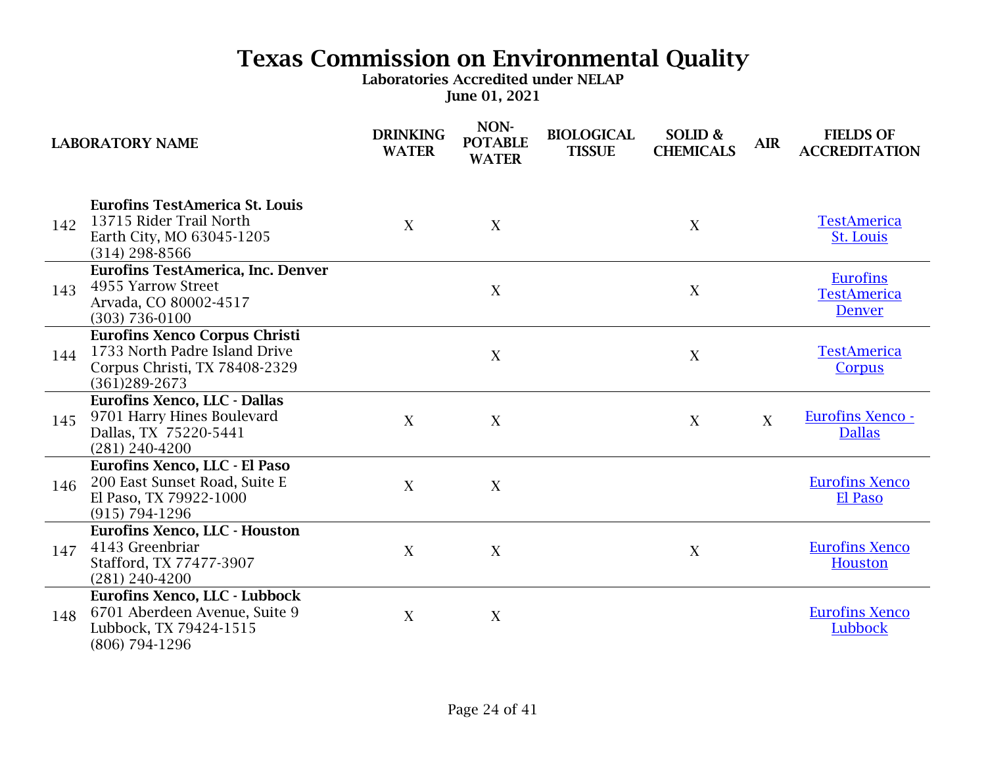|     | <b>LABORATORY NAME</b>                                                                                                  | <b>DRINKING</b><br><b>WATER</b> | NON-<br><b>POTABLE</b><br><b>WATER</b> | <b>BIOLOGICAL</b><br><b>TISSUE</b> | SOLID &<br><b>CHEMICALS</b> | <b>AIR</b> | <b>FIELDS OF</b><br><b>ACCREDITATION</b>               |
|-----|-------------------------------------------------------------------------------------------------------------------------|---------------------------------|----------------------------------------|------------------------------------|-----------------------------|------------|--------------------------------------------------------|
| 142 | <b>Eurofins TestAmerica St. Louis</b><br>13715 Rider Trail North<br>Earth City, MO 63045-1205<br>$(314)$ 298-8566       | X                               | X                                      |                                    | X                           |            | <b>TestAmerica</b><br><b>St. Louis</b>                 |
| 143 | <b>Eurofins TestAmerica, Inc. Denver</b><br>4955 Yarrow Street<br>Arvada, CO 80002-4517<br>$(303) 736 - 0100$           |                                 | X                                      |                                    | X                           |            | <b>Eurofins</b><br><b>TestAmerica</b><br><b>Denver</b> |
| 144 | <b>Eurofins Xenco Corpus Christi</b><br>1733 North Padre Island Drive<br>Corpus Christi, TX 78408-2329<br>(361)289-2673 |                                 | X                                      |                                    | $\overline{X}$              |            | <b>TestAmerica</b><br>Corpus                           |
| 145 | <b>Eurofins Xenco, LLC - Dallas</b><br>9701 Harry Hines Boulevard<br>Dallas, TX 75220-5441<br>$(281) 240 - 4200$        | X                               | X                                      |                                    | X                           | X          | Eurofins Xenco -<br><b>Dallas</b>                      |
| 146 | Eurofins Xenco, LLC - El Paso<br>200 East Sunset Road, Suite E<br>El Paso, TX 79922-1000<br>$(915) 794 - 1296$          | X                               | X                                      |                                    |                             |            | <b>Eurofins Xenco</b><br>El Paso                       |
| 147 | Eurofins Xenco, LLC - Houston<br>4143 Greenbriar<br>Stafford, TX 77477-3907<br>$(281) 240 - 4200$                       | X                               | X                                      |                                    | X                           |            | <b>Eurofins Xenco</b><br><b>Houston</b>                |
| 148 | Eurofins Xenco, LLC - Lubbock<br>6701 Aberdeen Avenue, Suite 9<br>Lubbock, TX 79424-1515<br>(806) 794-1296              | X                               | $\boldsymbol{X}$                       |                                    |                             |            | <b>Eurofins Xenco</b><br>Lubbock                       |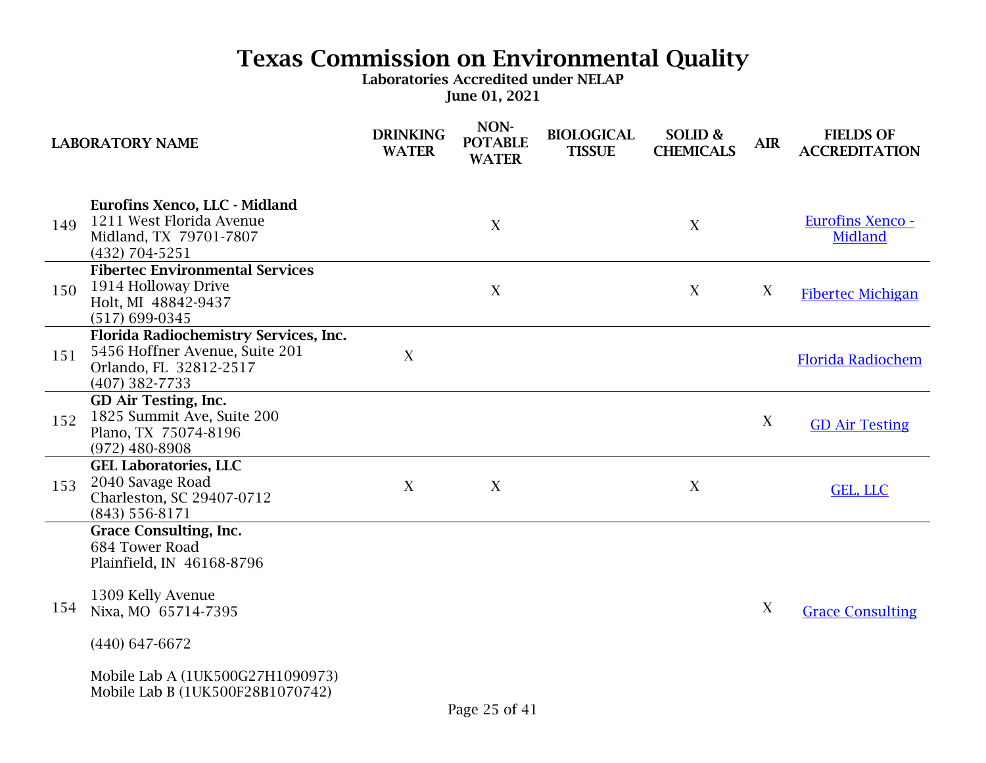| <b>LABORATORY NAME</b> |                                                                                                                                                                                                                      | <b>DRINKING</b><br><b>WATER</b> | NON-<br><b>POTABLE</b><br><b>WATER</b> | <b>BIOLOGICAL</b><br><b>TISSUE</b> | SOLID &<br><b>CHEMICALS</b> | <b>AIR</b> | <b>FIELDS OF</b><br><b>ACCREDITATION</b>  |
|------------------------|----------------------------------------------------------------------------------------------------------------------------------------------------------------------------------------------------------------------|---------------------------------|----------------------------------------|------------------------------------|-----------------------------|------------|-------------------------------------------|
| 149                    | <b>Eurofins Xenco, LLC - Midland</b><br>1211 West Florida Avenue<br>Midland, TX 79701-7807<br>(432) 704-5251                                                                                                         |                                 | X                                      |                                    | X                           |            | <b>Eurofins Xenco -</b><br><b>Midland</b> |
| 150                    | <b>Fibertec Environmental Services</b><br>1914 Holloway Drive<br>Holt, MI 48842-9437<br>$(517) 699 - 0345$                                                                                                           |                                 | X                                      |                                    | X                           | X          | <b>Fibertec Michigan</b>                  |
| 151                    | Florida Radiochemistry Services, Inc.<br>5456 Hoffner Avenue, Suite 201<br>Orlando, FL 32812-2517<br>$(407)$ 382-7733                                                                                                | X                               |                                        |                                    |                             |            | <b>Florida Radiochem</b>                  |
| 152                    | GD Air Testing, Inc.<br>1825 Summit Ave, Suite 200<br>Plano, TX 75074-8196<br>$(972)$ 480-8908                                                                                                                       |                                 |                                        |                                    |                             | X          | <b>GD Air Testing</b>                     |
| 153                    | <b>GEL Laboratories, LLC</b><br>2040 Savage Road<br>Charleston, SC 29407-0712<br>$(843)$ 556-8171                                                                                                                    | $\boldsymbol{X}$                | X                                      |                                    | X                           |            | GEL, LLC                                  |
| 154                    | <b>Grace Consulting, Inc.</b><br>684 Tower Road<br>Plainfield, IN 46168-8796<br>1309 Kelly Avenue<br>Nixa, MO 65714-7395<br>$(440)$ 647-6672<br>Mobile Lab A (1UK500G27H1090973)<br>Mobile Lab B (1UK500F28B1070742) |                                 |                                        |                                    |                             | X          | <b>Grace Consulting</b>                   |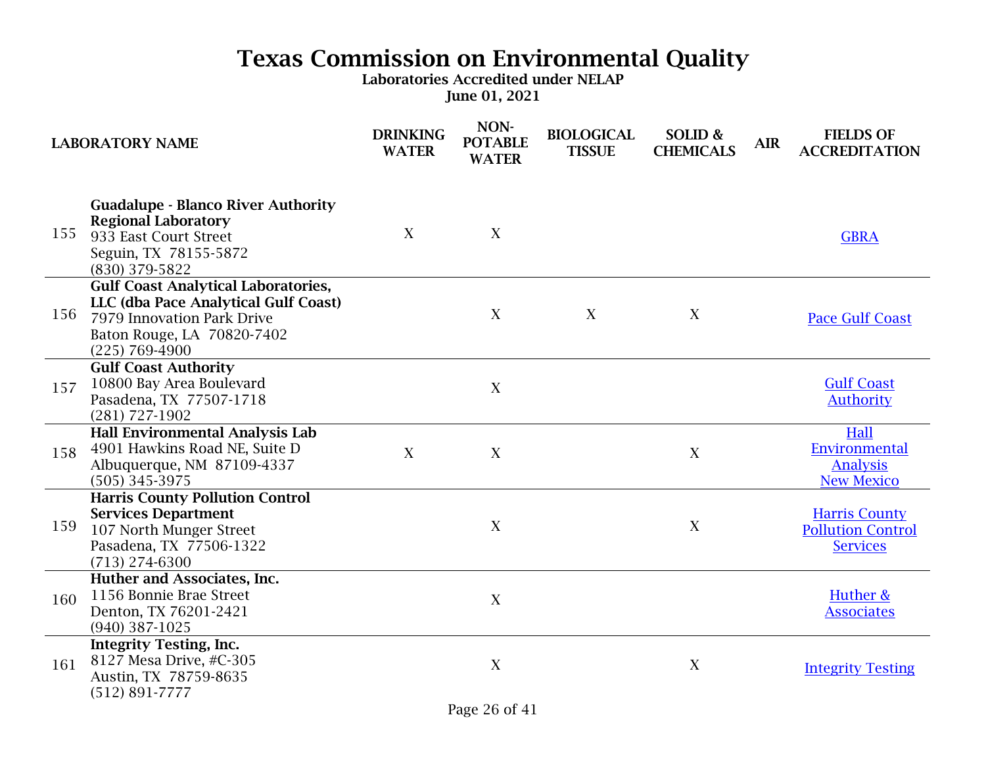| <b>LABORATORY NAME</b> |                                                                                                                                                                    | <b>DRINKING</b><br><b>WATER</b> | NON-<br><b>POTABLE</b><br><b>WATER</b> | <b>BIOLOGICAL</b><br><b>TISSUE</b> | SOLID &<br><b>CHEMICALS</b> | <b>AIR</b> | <b>FIELDS OF</b><br><b>ACCREDITATION</b>                            |
|------------------------|--------------------------------------------------------------------------------------------------------------------------------------------------------------------|---------------------------------|----------------------------------------|------------------------------------|-----------------------------|------------|---------------------------------------------------------------------|
| 155                    | <b>Guadalupe - Blanco River Authority</b><br><b>Regional Laboratory</b><br>933 East Court Street<br>Seguin, TX 78155-5872<br>(830) 379-5822                        | X                               | X                                      |                                    |                             |            | <b>GBRA</b>                                                         |
| 156                    | <b>Gulf Coast Analytical Laboratories,</b><br>LLC (dba Pace Analytical Gulf Coast)<br>7979 Innovation Park Drive<br>Baton Rouge, LA 70820-7402<br>$(225)$ 769-4900 |                                 | X                                      | X                                  | X                           |            | <b>Pace Gulf Coast</b>                                              |
| 157                    | <b>Gulf Coast Authority</b><br>10800 Bay Area Boulevard<br>Pasadena, TX 77507-1718<br>$(281)$ 727-1902                                                             |                                 | X                                      |                                    |                             |            | <b>Gulf Coast</b><br><b>Authority</b>                               |
| 158                    | <b>Hall Environmental Analysis Lab</b><br>4901 Hawkins Road NE, Suite D<br>Albuquerque, NM 87109-4337<br>$(505)$ 345-3975                                          | X                               | X                                      |                                    | X                           |            | Hall<br>Environmental<br><b>Analysis</b><br><b>New Mexico</b>       |
| 159                    | <b>Harris County Pollution Control</b><br><b>Services Department</b><br>107 North Munger Street<br>Pasadena, TX 77506-1322<br>$(713)$ 274-6300                     |                                 | X                                      |                                    | X                           |            | <b>Harris County</b><br><b>Pollution Control</b><br><b>Services</b> |
| 160                    | Huther and Associates, Inc.<br>1156 Bonnie Brae Street<br>Denton, TX 76201-2421<br>$(940)$ 387-1025                                                                |                                 | X                                      |                                    |                             |            | Huther &<br><b>Associates</b>                                       |
| 161                    | <b>Integrity Testing, Inc.</b><br>8127 Mesa Drive, #C-305<br>Austin, TX 78759-8635<br>$(512) 891 - 7777$                                                           |                                 | X                                      |                                    | X                           |            | <b>Integrity Testing</b>                                            |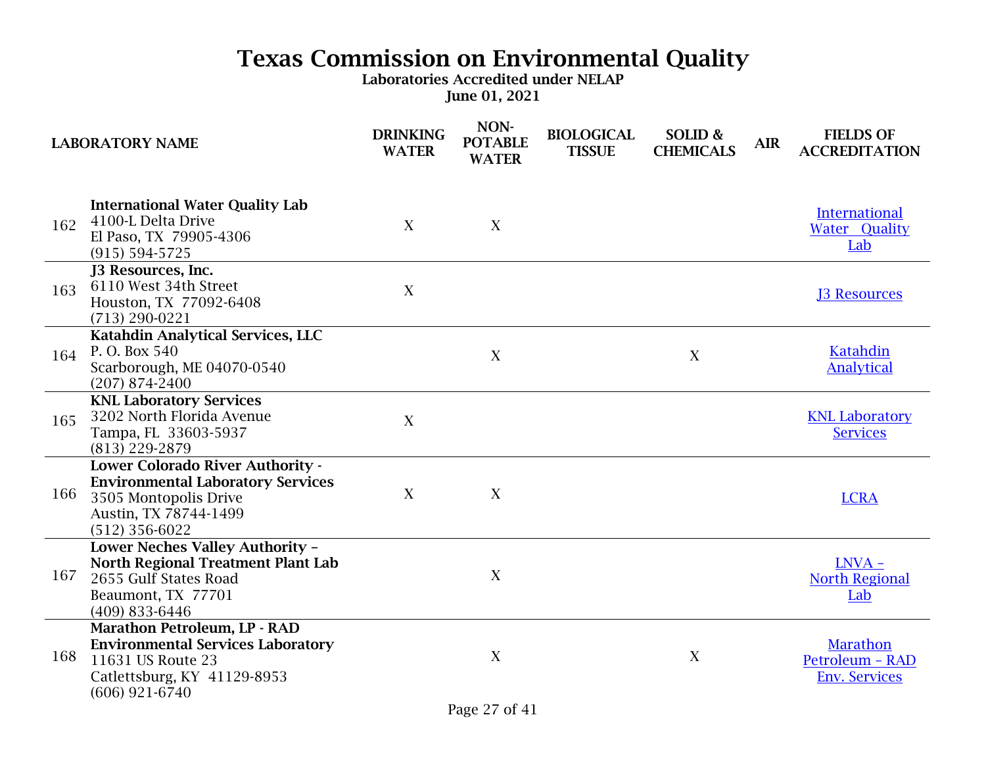|     | <b>LABORATORY NAME</b>                                                                                                                             | <b>DRINKING</b><br><b>WATER</b> | NON-<br><b>POTABLE</b><br><b>WATER</b> | <b>BIOLOGICAL</b><br><b>TISSUE</b> | SOLID &<br><b>CHEMICALS</b> | <b>AIR</b> | <b>FIELDS OF</b><br><b>ACCREDITATION</b>            |
|-----|----------------------------------------------------------------------------------------------------------------------------------------------------|---------------------------------|----------------------------------------|------------------------------------|-----------------------------|------------|-----------------------------------------------------|
| 162 | <b>International Water Quality Lab</b><br>4100-L Delta Drive<br>El Paso, TX 79905-4306<br>$(915) 594 - 5725$                                       | X                               | X                                      |                                    |                             |            | <b>International</b><br><b>Water Quality</b><br>Lab |
| 163 | J3 Resources, Inc.<br>6110 West 34th Street<br>Houston, TX 77092-6408<br>$(713) 290 - 0221$                                                        | X                               |                                        |                                    |                             |            | <b>J3 Resources</b>                                 |
| 164 | Katahdin Analytical Services, LLC<br>P. O. Box 540<br>Scarborough, ME 04070-0540<br>$(207)$ 874-2400                                               |                                 | X                                      |                                    | X                           |            | Katahdin<br><b>Analytical</b>                       |
| 165 | <b>KNL Laboratory Services</b><br>3202 North Florida Avenue<br>Tampa, FL 33603-5937<br>(813) 229-2879                                              | X                               |                                        |                                    |                             |            | <b>KNL Laboratory</b><br><b>Services</b>            |
| 166 | Lower Colorado River Authority -<br><b>Environmental Laboratory Services</b><br>3505 Montopolis Drive<br>Austin, TX 78744-1499<br>$(512)$ 356-6022 | X                               | $\mathbf X$                            |                                    |                             |            | <b>LCRA</b>                                         |
| 167 | Lower Neches Valley Authority -<br><b>North Regional Treatment Plant Lab</b><br>2655 Gulf States Road<br>Beaumont, TX 77701<br>(409) 833-6446      |                                 | X                                      |                                    |                             |            | $LNVA -$<br><b>North Regional</b><br>Lab            |
| 168 | Marathon Petroleum, LP - RAD<br><b>Environmental Services Laboratory</b><br>11631 US Route 23<br>Catlettsburg, KY 41129-8953<br>$(606)$ 921-6740   |                                 | $\mathbf X$                            |                                    | X                           |            | Marathon<br>Petroleum - RAD<br><b>Env. Services</b> |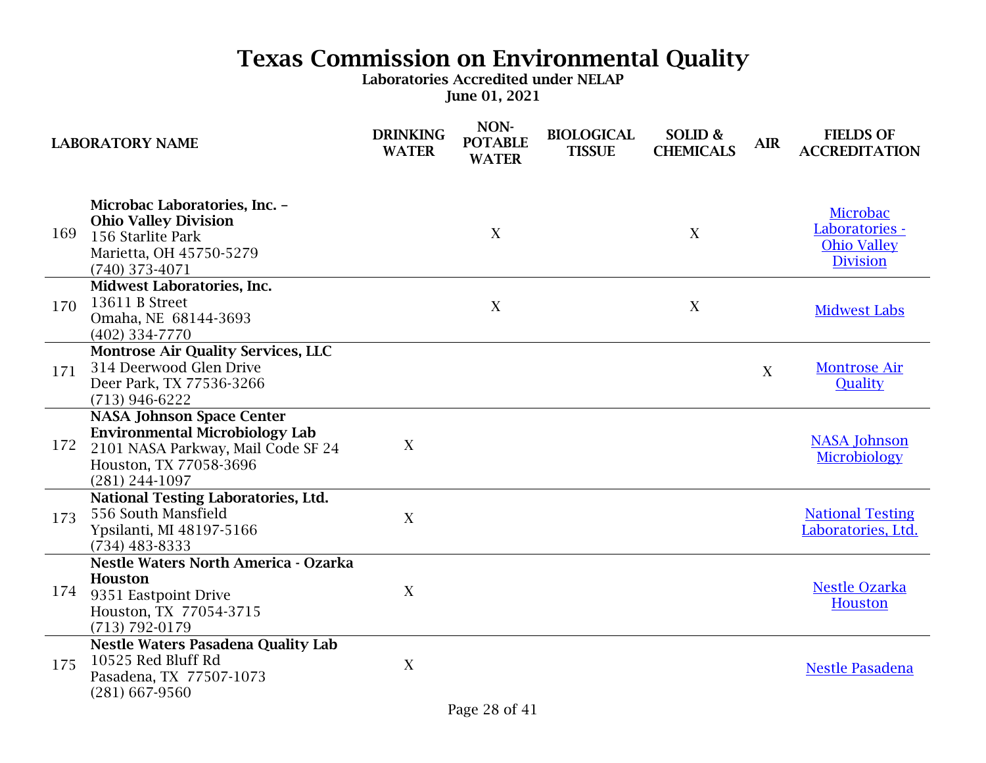|     | <b>LABORATORY NAME</b>                                                                                                                                          | <b>DRINKING</b><br><b>WATER</b> | NON-<br><b>POTABLE</b><br><b>WATER</b> | <b>BIOLOGICAL</b><br><b>TISSUE</b> | SOLID &<br><b>CHEMICALS</b> | <b>AIR</b> | <b>FIELDS OF</b><br><b>ACCREDITATION</b>                            |
|-----|-----------------------------------------------------------------------------------------------------------------------------------------------------------------|---------------------------------|----------------------------------------|------------------------------------|-----------------------------|------------|---------------------------------------------------------------------|
| 169 | Microbac Laboratories, Inc. -<br><b>Ohio Valley Division</b><br>156 Starlite Park<br>Marietta, OH 45750-5279<br>$(740)$ 373-4071                                |                                 | X                                      |                                    | X                           |            | Microbac<br>Laboratories -<br><b>Ohio Valley</b><br><b>Division</b> |
| 170 | Midwest Laboratories, Inc.<br>13611 B Street<br>Omaha, NE 68144-3693<br>$(402)$ 334-7770                                                                        |                                 | X                                      |                                    | X                           |            | <b>Midwest Labs</b>                                                 |
| 171 | <b>Montrose Air Quality Services, LLC</b><br>314 Deerwood Glen Drive<br>Deer Park, TX 77536-3266<br>$(713)$ 946-6222                                            |                                 |                                        |                                    |                             | X          | <b>Montrose Air</b><br>Quality                                      |
| 172 | <b>NASA Johnson Space Center</b><br><b>Environmental Microbiology Lab</b><br>2101 NASA Parkway, Mail Code SF 24<br>Houston, TX 77058-3696<br>$(281) 244 - 1097$ | X                               |                                        |                                    |                             |            | <b>NASA Johnson</b><br>Microbiology                                 |
| 173 | <b>National Testing Laboratories, Ltd.</b><br>556 South Mansfield<br>Ypsilanti, MI 48197-5166<br>$(734)$ 483-8333                                               | $\boldsymbol{X}$                |                                        |                                    |                             |            | <b>National Testing</b><br>Laboratories, Ltd.                       |
| 174 | <b>Nestle Waters North America - Ozarka</b><br>Houston<br>9351 Eastpoint Drive<br>Houston, TX 77054-3715<br>$(713) 792 - 0179$                                  | X                               |                                        |                                    |                             |            | <b>Nestle Ozarka</b><br>Houston                                     |
| 175 | <b>Nestle Waters Pasadena Quality Lab</b><br>10525 Red Bluff Rd<br>Pasadena, TX 77507-1073<br>$(281)$ 667-9560                                                  | $\boldsymbol{X}$                |                                        |                                    |                             |            | <b>Nestle Pasadena</b>                                              |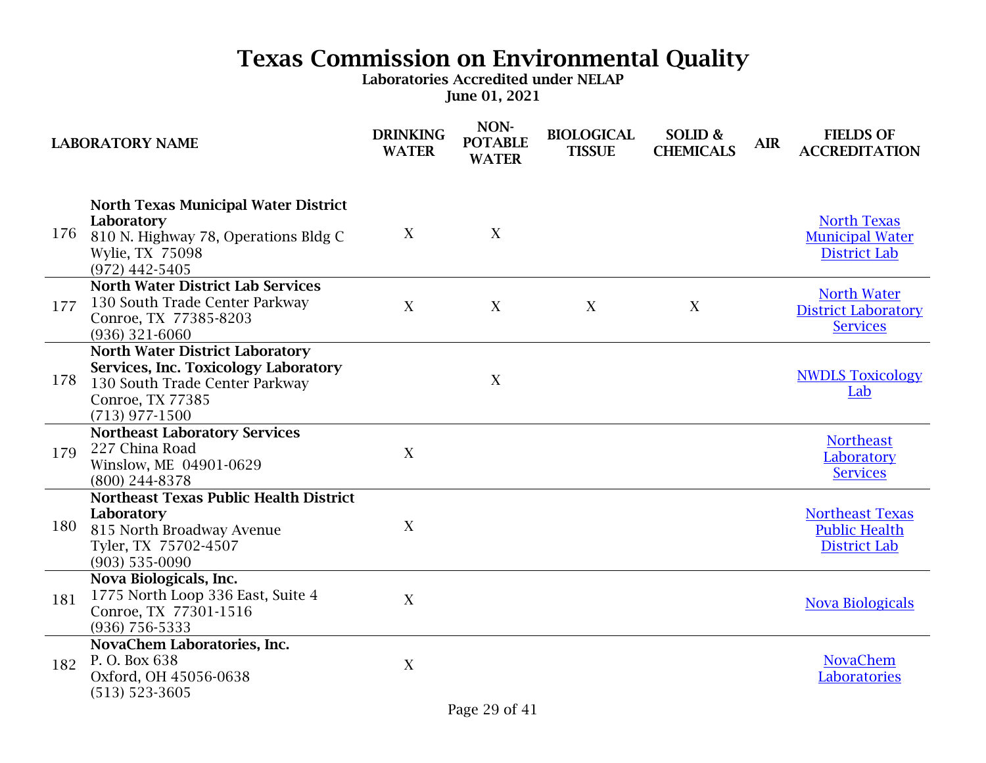|     | <b>LABORATORY NAME</b>                                                                                                                                   | <b>DRINKING</b><br><b>WATER</b> | NON-<br><b>POTABLE</b><br><b>WATER</b> | <b>BIOLOGICAL</b><br><b>TISSUE</b> | SOLID &<br><b>CHEMICALS</b> | <b>AIR</b> | <b>FIELDS OF</b><br><b>ACCREDITATION</b>                              |
|-----|----------------------------------------------------------------------------------------------------------------------------------------------------------|---------------------------------|----------------------------------------|------------------------------------|-----------------------------|------------|-----------------------------------------------------------------------|
| 176 | <b>North Texas Municipal Water District</b><br>Laboratory<br>810 N. Highway 78, Operations Bldg C<br>Wylie, TX 75098<br>$(972)$ 442-5405                 | X                               | X                                      |                                    |                             |            | <b>North Texas</b><br><b>Municipal Water</b><br><b>District Lab</b>   |
| 177 | <b>North Water District Lab Services</b><br>130 South Trade Center Parkway<br>Conroe, TX 77385-8203<br>$(936)$ 321-6060                                  | X                               | X                                      | X                                  | X                           |            | <b>North Water</b><br><b>District Laboratory</b><br><b>Services</b>   |
| 178 | <b>North Water District Laboratory</b><br>Services, Inc. Toxicology Laboratory<br>130 South Trade Center Parkway<br>Conroe, TX 77385<br>$(713)$ 977-1500 |                                 | X                                      |                                    |                             |            | <b>NWDLS Toxicology</b><br>Lab                                        |
| 179 | <b>Northeast Laboratory Services</b><br>227 China Road<br>Winslow, ME 04901-0629<br>$(800)$ 244-8378                                                     | X                               |                                        |                                    |                             |            | <b>Northeast</b><br>Laboratory<br><b>Services</b>                     |
| 180 | <b>Northeast Texas Public Health District</b><br>Laboratory<br>815 North Broadway Avenue<br>Tyler, TX 75702-4507<br>$(903)$ 535-0090                     | X                               |                                        |                                    |                             |            | <b>Northeast Texas</b><br><b>Public Health</b><br><b>District Lab</b> |
| 181 | Nova Biologicals, Inc.<br>1775 North Loop 336 East, Suite 4<br>Conroe, TX 77301-1516<br>$(936)$ 756-5333                                                 | X                               |                                        |                                    |                             |            | <b>Nova Biologicals</b>                                               |
| 182 | NovaChem Laboratories, Inc.<br>P. O. Box 638<br>Oxford, OH 45056-0638<br>$(513) 523 - 3605$                                                              | X                               |                                        |                                    |                             |            | <b>NovaChem</b><br><b>Laboratories</b>                                |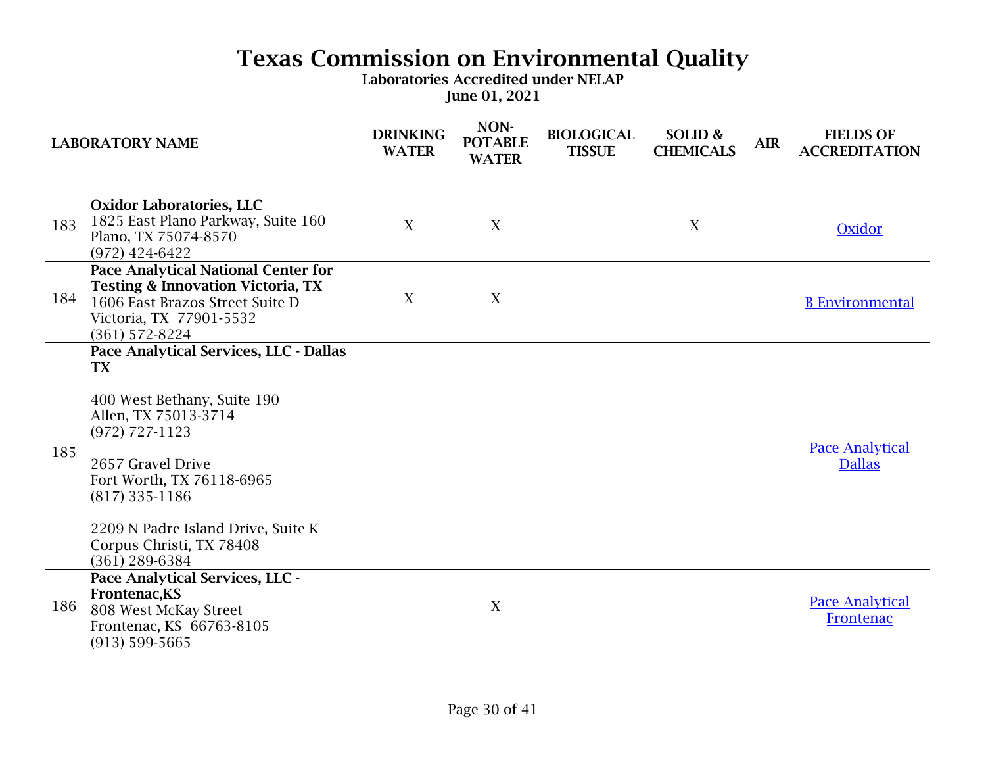|     | <b>LABORATORY NAME</b>                                                                                                                                                                                                                                                                   | <b>DRINKING</b><br><b>WATER</b> | NON-<br><b>POTABLE</b><br><b>WATER</b> | <b>BIOLOGICAL</b><br><b>TISSUE</b> | SOLID &<br><b>CHEMICALS</b> | <b>AIR</b> | <b>FIELDS OF</b><br><b>ACCREDITATION</b> |
|-----|------------------------------------------------------------------------------------------------------------------------------------------------------------------------------------------------------------------------------------------------------------------------------------------|---------------------------------|----------------------------------------|------------------------------------|-----------------------------|------------|------------------------------------------|
| 183 | <b>Oxidor Laboratories, LLC</b><br>1825 East Plano Parkway, Suite 160<br>Plano, TX 75074-8570<br>$(972)$ 424-6422                                                                                                                                                                        | $\boldsymbol{X}$                | X                                      |                                    | X                           |            | Oxidor                                   |
| 184 | <b>Pace Analytical National Center for</b><br><b>Testing &amp; Innovation Victoria, TX</b><br>1606 East Brazos Street Suite D<br>Victoria, TX 77901-5532<br>$(361)$ 572-8224                                                                                                             | X                               | X                                      |                                    |                             |            | <b>B</b> Environmental                   |
| 185 | Pace Analytical Services, LLC - Dallas<br><b>TX</b><br>400 West Bethany, Suite 190<br>Allen, TX 75013-3714<br>$(972)$ 727-1123<br>2657 Gravel Drive<br>Fort Worth, TX 76118-6965<br>$(817)$ 335-1186<br>2209 N Padre Island Drive, Suite K<br>Corpus Christi, TX 78408<br>(361) 289-6384 |                                 |                                        |                                    |                             |            | <b>Pace Analytical</b><br><b>Dallas</b>  |
| 186 | Pace Analytical Services, LLC -<br>Frontenac, KS<br>808 West McKay Street<br>Frontenac, KS 66763-8105<br>$(913) 599 - 5665$                                                                                                                                                              |                                 | X                                      |                                    |                             |            | <b>Pace Analytical</b><br>Frontenac      |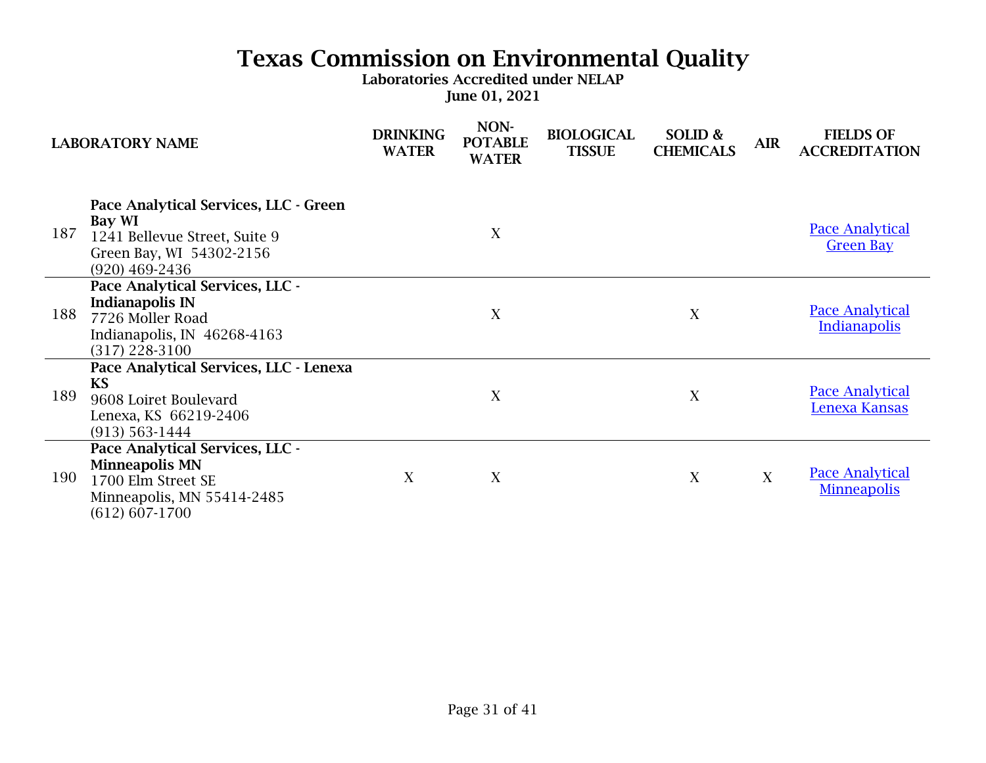| <b>LABORATORY NAME</b> |                                                                                                                                    | <b>DRINKING</b><br><b>WATER</b> | NON-<br><b>POTABLE</b><br><b>WATER</b> | <b>BIOLOGICAL</b><br><b>TISSUE</b> | SOLID &<br><b>CHEMICALS</b> | <b>AIR</b> | <b>FIELDS OF</b><br><b>ACCREDITATION</b>      |
|------------------------|------------------------------------------------------------------------------------------------------------------------------------|---------------------------------|----------------------------------------|------------------------------------|-----------------------------|------------|-----------------------------------------------|
| 187                    | Pace Analytical Services, LLC - Green<br>Bay WI<br>1241 Bellevue Street, Suite 9<br>Green Bay, WI 54302-2156<br>$(920)$ 469-2436   |                                 | X                                      |                                    |                             |            | <b>Pace Analytical</b><br><b>Green Bay</b>    |
| 188                    | Pace Analytical Services, LLC -<br><b>Indianapolis IN</b><br>7726 Moller Road<br>Indianapolis, IN 46268-4163<br>$(317)$ 228-3100   |                                 | X                                      |                                    | X                           |            | <b>Pace Analytical</b><br><b>Indianapolis</b> |
| 189                    | Pace Analytical Services, LLC - Lenexa<br><b>KS</b><br>9608 Loiret Boulevard<br>Lenexa, KS 66219-2406<br>$(913) 563 - 1444$        |                                 | X                                      |                                    | X                           |            | <b>Pace Analytical</b><br>Lenexa Kansas       |
| 190                    | Pace Analytical Services, LLC -<br><b>Minneapolis MN</b><br>1700 Elm Street SE<br>Minneapolis, MN 55414-2485<br>$(612) 607 - 1700$ | X                               | X                                      |                                    | X                           | X          | <b>Pace Analytical</b><br><b>Minneapolis</b>  |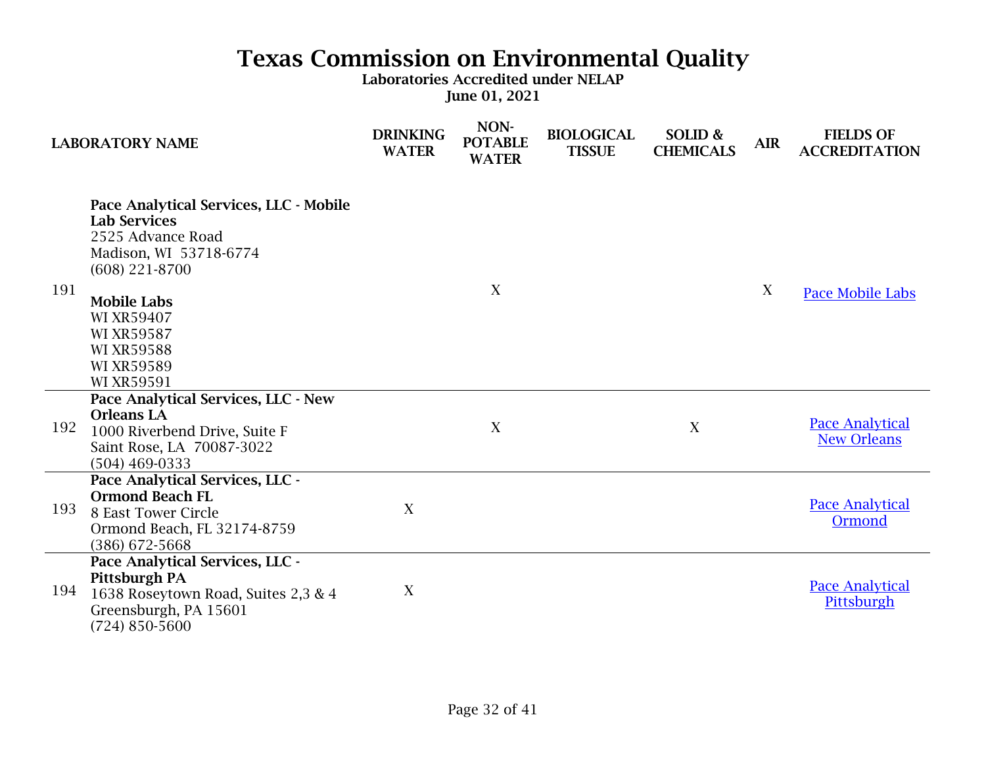|     | <b>LABORATORY NAME</b>                                                                                                                                                                                                                     | <b>DRINKING</b><br><b>WATER</b> | NON-<br><b>POTABLE</b><br><b>WATER</b> | <b>BIOLOGICAL</b><br><b>TISSUE</b> | SOLID &<br><b>CHEMICALS</b> | <b>AIR</b> | <b>FIELDS OF</b><br><b>ACCREDITATION</b>     |
|-----|--------------------------------------------------------------------------------------------------------------------------------------------------------------------------------------------------------------------------------------------|---------------------------------|----------------------------------------|------------------------------------|-----------------------------|------------|----------------------------------------------|
| 191 | Pace Analytical Services, LLC - Mobile<br><b>Lab Services</b><br>2525 Advance Road<br>Madison, WI 53718-6774<br>$(608)$ 221-8700<br><b>Mobile Labs</b><br><b>WI XR59407</b><br><b>WI XR59587</b><br><b>WI XR59588</b><br><b>WI XR59589</b> |                                 | X                                      |                                    |                             | X          | Pace Mobile Labs                             |
|     | <b>WI XR59591</b>                                                                                                                                                                                                                          |                                 |                                        |                                    |                             |            |                                              |
| 192 | Pace Analytical Services, LLC - New<br><b>Orleans LA</b><br>1000 Riverbend Drive, Suite F<br>Saint Rose, LA 70087-3022<br>$(504)$ 469-0333                                                                                                 |                                 | X                                      |                                    | X                           |            | <b>Pace Analytical</b><br><b>New Orleans</b> |
| 193 | Pace Analytical Services, LLC -<br><b>Ormond Beach FL</b><br>8 East Tower Circle<br>Ormond Beach, FL 32174-8759<br>$(386)$ 672-5668                                                                                                        | X                               |                                        |                                    |                             |            | <b>Pace Analytical</b><br>Ormond             |
| 194 | Pace Analytical Services, LLC -<br>Pittsburgh PA<br>1638 Roseytown Road, Suites 2,3 & 4<br>Greensburgh, PA 15601<br>$(724) 850 - 5600$                                                                                                     | X                               |                                        |                                    |                             |            | <b>Pace Analytical</b><br>Pittsburgh         |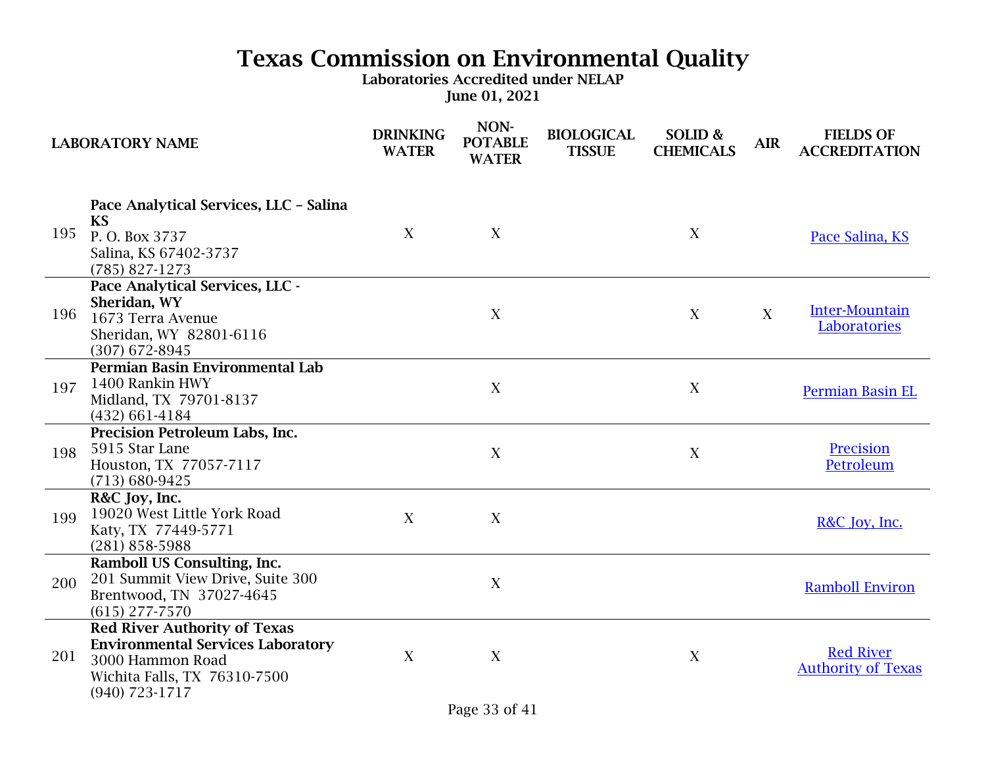|     | <b>LABORATORY NAME</b>                                                                                                                                  | <b>DRINKING</b><br><b>WATER</b> | NON-<br><b>POTABLE</b><br><b>WATER</b> | <b>BIOLOGICAL</b><br><b>TISSUE</b> | SOLID &<br><b>CHEMICALS</b> | <b>AIR</b> | <b>FIELDS OF</b><br><b>ACCREDITATION</b>      |
|-----|---------------------------------------------------------------------------------------------------------------------------------------------------------|---------------------------------|----------------------------------------|------------------------------------|-----------------------------|------------|-----------------------------------------------|
| 195 | Pace Analytical Services, LLC - Salina<br><b>KS</b><br>P.O. Box 3737<br>Salina, KS 67402-3737<br>$(785) 827 - 1273$                                     | X                               | X                                      |                                    | X                           |            | Pace Salina, KS                               |
| 196 | Pace Analytical Services, LLC -<br>Sheridan, WY<br>1673 Terra Avenue<br>Sheridan, WY 82801-6116<br>$(307)$ 672-8945                                     |                                 | X                                      |                                    | X                           | X          | <b>Inter-Mountain</b><br>Laboratories         |
| 197 | Permian Basin Environmental Lab<br>1400 Rankin HWY<br>Midland, TX 79701-8137<br>$(432)$ 661-4184                                                        |                                 | X                                      |                                    | X                           |            | <b>Permian Basin EL</b>                       |
| 198 | <b>Precision Petroleum Labs, Inc.</b><br>5915 Star Lane<br>Houston, TX 77057-7117<br>$(713) 680 - 9425$                                                 |                                 | X                                      |                                    | X                           |            | Precision<br>Petroleum                        |
| 199 | R&C Joy, Inc.<br>19020 West Little York Road<br>Katy, TX 77449-5771<br>$(281) 858 - 5988$                                                               | X                               | X                                      |                                    |                             |            | R&C Joy, Inc.                                 |
| 200 | <b>Ramboll US Consulting, Inc.</b><br>201 Summit View Drive, Suite 300<br>Brentwood, TN 37027-4645<br>$(615)$ 277-7570                                  |                                 | X                                      |                                    |                             |            | <b>Ramboll Environ</b>                        |
| 201 | <b>Red River Authority of Texas</b><br><b>Environmental Services Laboratory</b><br>3000 Hammon Road<br>Wichita Falls, TX 76310-7500<br>$(940)$ 723-1717 | X                               | X                                      |                                    | X                           |            | <b>Red River</b><br><b>Authority of Texas</b> |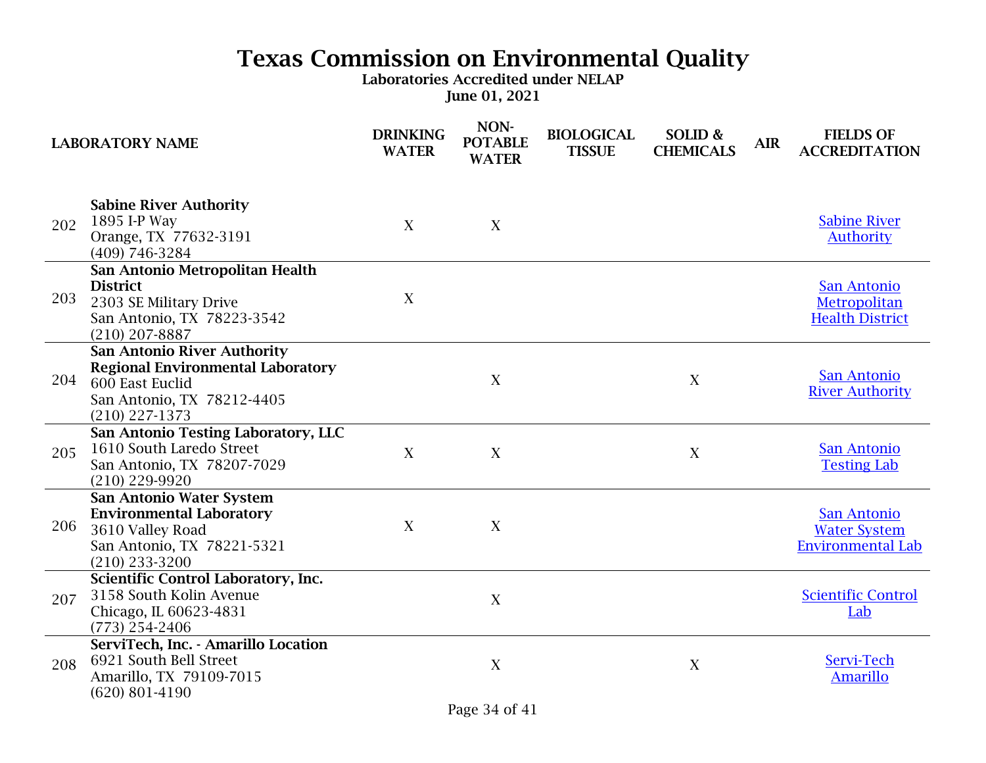| <b>LABORATORY NAME</b> |                                                                                                                                                     | <b>DRINKING</b><br><b>WATER</b> | NON-<br><b>POTABLE</b><br><b>WATER</b> | <b>BIOLOGICAL</b><br><b>TISSUE</b> | SOLID &<br><b>CHEMICALS</b> | <b>AIR</b> | <b>FIELDS OF</b><br><b>ACCREDITATION</b>                              |
|------------------------|-----------------------------------------------------------------------------------------------------------------------------------------------------|---------------------------------|----------------------------------------|------------------------------------|-----------------------------|------------|-----------------------------------------------------------------------|
| 202                    | <b>Sabine River Authority</b><br>1895 I-P Way<br>Orange, TX 77632-3191<br>(409) 746-3284                                                            | X                               | X                                      |                                    |                             |            | <b>Sabine River</b><br><b>Authority</b>                               |
| 203                    | San Antonio Metropolitan Health<br><b>District</b><br>2303 SE Military Drive<br>San Antonio, TX 78223-3542<br>$(210)$ 207-8887                      | X                               |                                        |                                    |                             |            | San Antonio<br>Metropolitan<br><b>Health District</b>                 |
| 204                    | <b>San Antonio River Authority</b><br><b>Regional Environmental Laboratory</b><br>600 East Euclid<br>San Antonio, TX 78212-4405<br>$(210)$ 227-1373 |                                 | X                                      |                                    | X                           |            | <b>San Antonio</b><br><b>River Authority</b>                          |
| 205                    | San Antonio Testing Laboratory, LLC<br>1610 South Laredo Street<br>San Antonio, TX 78207-7029<br>$(210)$ 229-9920                                   | X                               | X                                      |                                    | X                           |            | San Antonio<br><b>Testing Lab</b>                                     |
| 206                    | San Antonio Water System<br><b>Environmental Laboratory</b><br>3610 Valley Road<br>San Antonio, TX 78221-5321<br>$(210)$ 233-3200                   | X                               | X                                      |                                    |                             |            | <b>San Antonio</b><br><b>Water System</b><br><b>Environmental Lab</b> |
| 207                    | Scientific Control Laboratory, Inc.<br>3158 South Kolin Avenue<br>Chicago, IL 60623-4831<br>$(773)$ 254-2406                                        |                                 | X                                      |                                    |                             |            | <b>Scientific Control</b><br>Lab                                      |
| 208                    | ServiTech, Inc. - Amarillo Location<br>6921 South Bell Street<br>Amarillo, TX 79109-7015<br>$(620)$ 801-4190                                        |                                 | X                                      |                                    | X                           |            | Servi-Tech<br><b>Amarillo</b>                                         |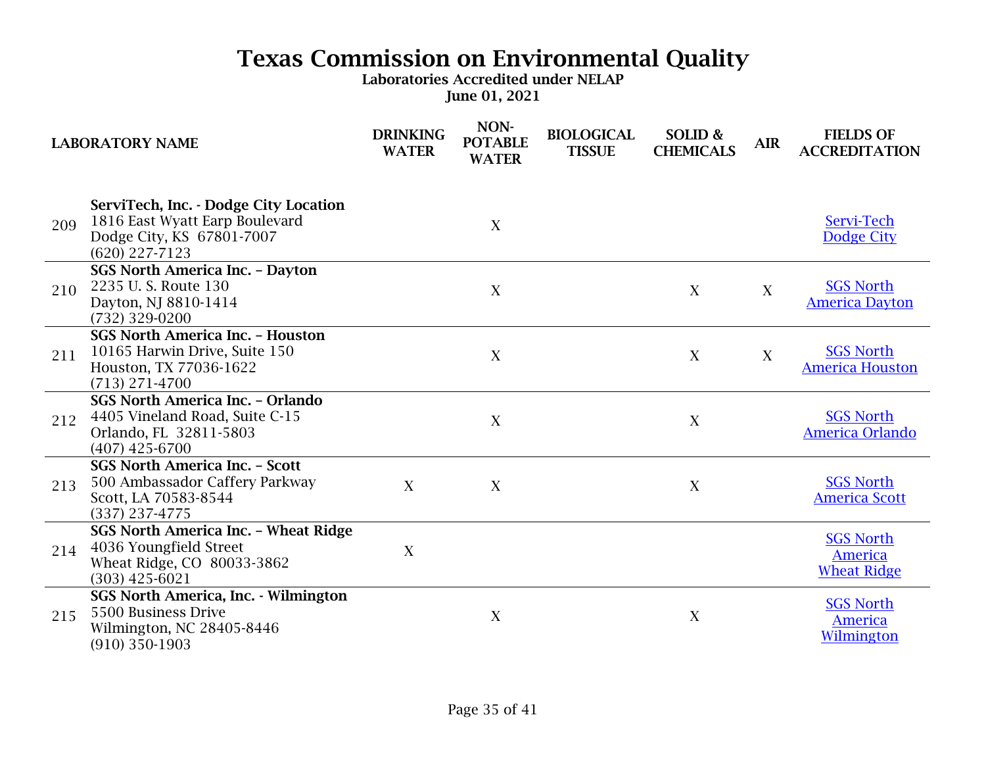|     | <b>LABORATORY NAME</b>                                                                                                   | <b>DRINKING</b><br><b>WATER</b> | NON-<br><b>POTABLE</b><br><b>WATER</b> | <b>BIOLOGICAL</b><br><b>TISSUE</b> | SOLID &<br><b>CHEMICALS</b> | <b>AIR</b> | <b>FIELDS OF</b><br><b>ACCREDITATION</b>                 |
|-----|--------------------------------------------------------------------------------------------------------------------------|---------------------------------|----------------------------------------|------------------------------------|-----------------------------|------------|----------------------------------------------------------|
| 209 | ServiTech, Inc. - Dodge City Location<br>1816 East Wyatt Earp Boulevard<br>Dodge City, KS 67801-7007<br>$(620)$ 227-7123 |                                 | X                                      |                                    |                             |            | Servi-Tech<br>Dodge City                                 |
| 210 | <b>SGS North America Inc. - Dayton</b><br>2235 U.S. Route 130<br>Dayton, NJ 8810-1414<br>(732) 329-0200                  |                                 | $\mathbf X$                            |                                    | X                           | X          | <b>SGS North</b><br><b>America Dayton</b>                |
| 211 | <b>SGS North America Inc. - Houston</b><br>10165 Harwin Drive, Suite 150<br>Houston, TX 77036-1622<br>$(713)$ 271-4700   |                                 | X                                      |                                    | X                           | X          | <b>SGS North</b><br><b>America Houston</b>               |
| 212 | <b>SGS North America Inc. - Orlando</b><br>4405 Vineland Road, Suite C-15<br>Orlando, FL 32811-5803<br>$(407)$ 425-6700  |                                 | $\boldsymbol{X}$                       |                                    | X                           |            | <b>SGS North</b><br>America Orlando                      |
| 213 | <b>SGS North America Inc. - Scott</b><br>500 Ambassador Caffery Parkway<br>Scott, LA 70583-8544<br>$(337)$ 237-4775      | X                               | X                                      |                                    | X                           |            | <b>SGS North</b><br><b>America Scott</b>                 |
| 214 | SGS North America Inc. - Wheat Ridge<br>4036 Youngfield Street<br>Wheat Ridge, CO 80033-3862<br>$(303)$ 425-6021         | $\boldsymbol{X}$                |                                        |                                    |                             |            | <b>SGS North</b><br><b>America</b><br><b>Wheat Ridge</b> |
| 215 | <b>SGS North America, Inc. - Wilmington</b><br>5500 Business Drive<br>Wilmington, NC 28405-8446<br>$(910)$ 350-1903      |                                 | $\mathbf X$                            |                                    | $\mathbf X$                 |            | <b>SGS North</b><br><b>America</b><br>Wilmington         |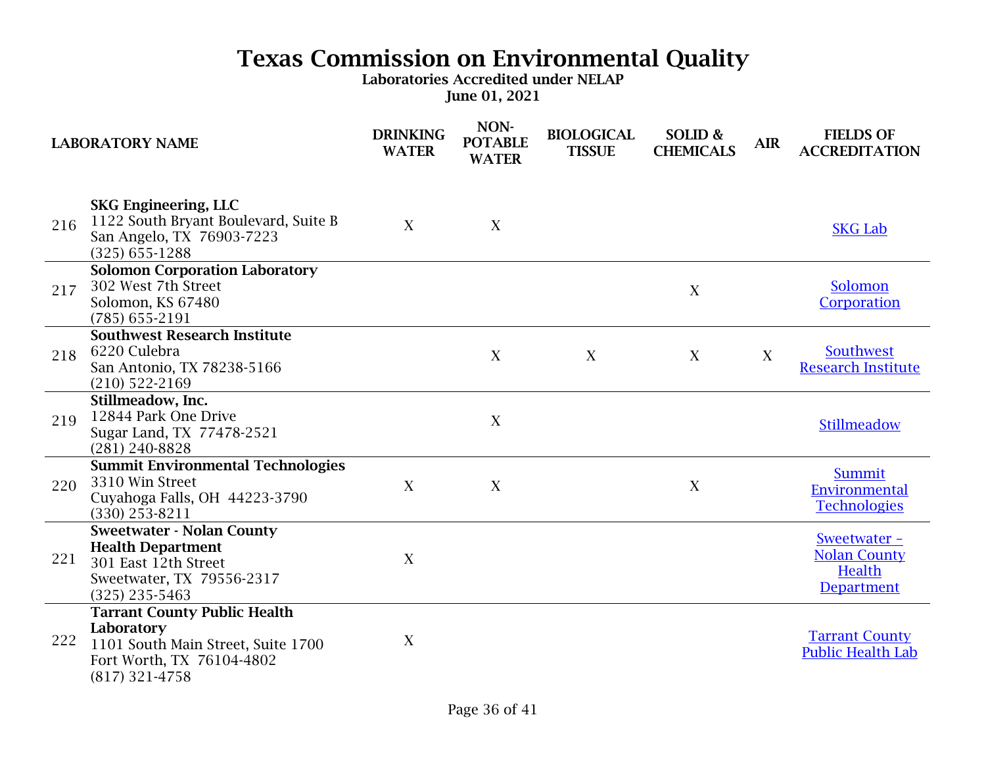|     | <b>LABORATORY NAME</b>                                                                                                                   | <b>DRINKING</b><br><b>WATER</b> | NON-<br><b>POTABLE</b><br><b>WATER</b> | <b>BIOLOGICAL</b><br><b>TISSUE</b> | SOLID &<br><b>CHEMICALS</b> | <b>AIR</b>       | <b>FIELDS OF</b><br><b>ACCREDITATION</b>                           |
|-----|------------------------------------------------------------------------------------------------------------------------------------------|---------------------------------|----------------------------------------|------------------------------------|-----------------------------|------------------|--------------------------------------------------------------------|
| 216 | <b>SKG Engineering, LLC</b><br>1122 South Bryant Boulevard, Suite B<br>San Angelo, TX 76903-7223<br>$(325)$ 655-1288                     | X                               | X                                      |                                    |                             |                  | <b>SKG Lab</b>                                                     |
| 217 | <b>Solomon Corporation Laboratory</b><br>302 West 7th Street<br>Solomon, KS 67480<br>$(785)$ 655-2191                                    |                                 |                                        |                                    | X                           |                  | Solomon<br>Corporation                                             |
| 218 | <b>Southwest Research Institute</b><br>6220 Culebra<br>San Antonio, TX 78238-5166<br>$(210)$ 522-2169                                    |                                 | X                                      | X                                  | X                           | $\boldsymbol{X}$ | Southwest<br><b>Research Institute</b>                             |
| 219 | Stillmeadow, Inc.<br>12844 Park One Drive<br>Sugar Land, TX 77478-2521<br>$(281)$ 240-8828                                               |                                 | X                                      |                                    |                             |                  | Stillmeadow                                                        |
| 220 | <b>Summit Environmental Technologies</b><br>3310 Win Street<br>Cuyahoga Falls, OH 44223-3790<br>$(330)$ 253-8211                         | X                               | X                                      |                                    | X                           |                  | <b>Summit</b><br>Environmental<br><b>Technologies</b>              |
| 221 | <b>Sweetwater - Nolan County</b><br><b>Health Department</b><br>301 East 12th Street<br>Sweetwater, TX 79556-2317<br>$(325)$ 235-5463    | X                               |                                        |                                    |                             |                  | Sweetwater -<br><b>Nolan County</b><br>Health<br><b>Department</b> |
| 222 | <b>Tarrant County Public Health</b><br>Laboratory<br>1101 South Main Street, Suite 1700<br>Fort Worth, TX 76104-4802<br>$(817)$ 321-4758 | X                               |                                        |                                    |                             |                  | <b>Tarrant County</b><br><b>Public Health Lab</b>                  |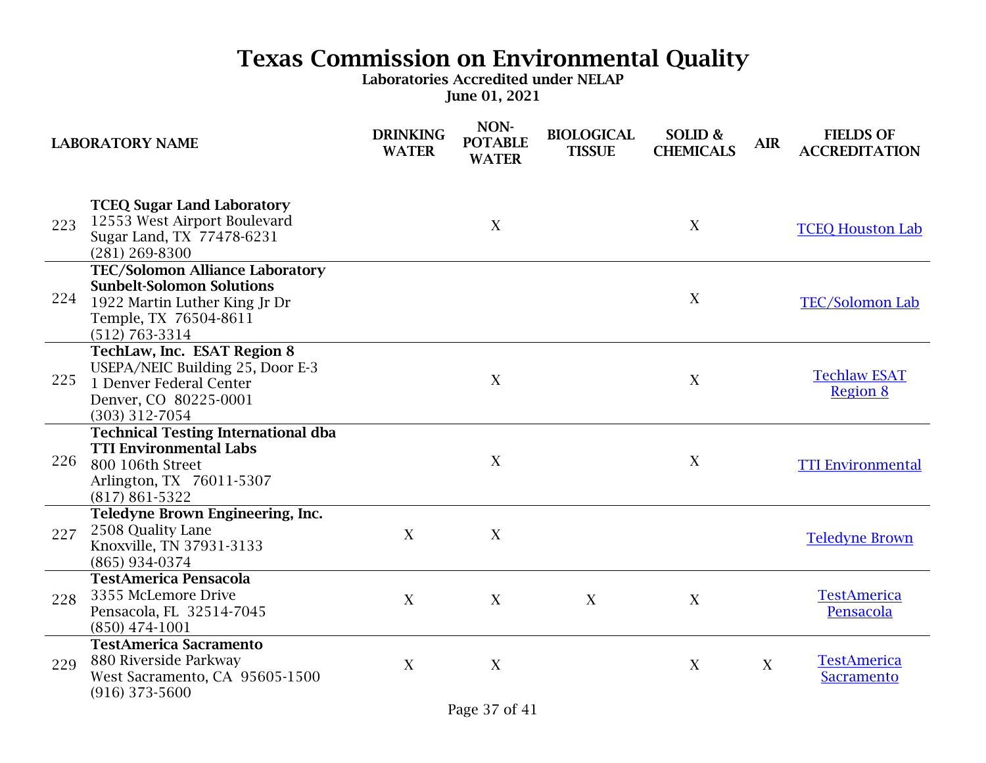| <b>LABORATORY NAME</b> |                                                                                                                                                            | <b>DRINKING</b><br><b>WATER</b> | NON-<br><b>POTABLE</b><br><b>WATER</b> | <b>BIOLOGICAL</b><br><b>TISSUE</b> | SOLID &<br><b>CHEMICALS</b> | <b>AIR</b> | <b>FIELDS OF</b><br><b>ACCREDITATION</b> |
|------------------------|------------------------------------------------------------------------------------------------------------------------------------------------------------|---------------------------------|----------------------------------------|------------------------------------|-----------------------------|------------|------------------------------------------|
| 223                    | <b>TCEQ Sugar Land Laboratory</b><br>12553 West Airport Boulevard<br>Sugar Land, TX 77478-6231<br>$(281)$ 269-8300                                         |                                 | X                                      |                                    | X                           |            | <b>TCEQ Houston Lab</b>                  |
| 224                    | <b>TEC/Solomon Alliance Laboratory</b><br><b>Sunbelt-Solomon Solutions</b><br>1922 Martin Luther King Jr Dr<br>Temple, TX 76504-8611<br>$(512) 763 - 3314$ |                                 |                                        |                                    | X                           |            | <b>TEC/Solomon Lab</b>                   |
| 225                    | TechLaw, Inc. ESAT Region 8<br>USEPA/NEIC Building 25, Door E-3<br>1 Denver Federal Center<br>Denver, CO 80225-0001<br>$(303)$ 312-7054                    |                                 | X                                      |                                    | X                           |            | <b>Techlaw ESAT</b><br><b>Region 8</b>   |
| 226                    | <b>Technical Testing International dba</b><br><b>TTI Environmental Labs</b><br>800 106th Street<br>Arlington, TX 76011-5307<br>$(817) 861 - 5322$          |                                 | X                                      |                                    | X                           |            | <b>TTI Environmental</b>                 |
| 227                    | Teledyne Brown Engineering, Inc.<br>2508 Quality Lane<br>Knoxville, TN 37931-3133<br>(865) 934-0374                                                        | X                               | X                                      |                                    |                             |            | <b>Teledyne Brown</b>                    |
| 228                    | <b>TestAmerica Pensacola</b><br>3355 McLemore Drive<br>Pensacola, FL 32514-7045<br>$(850)$ 474-1001                                                        | X                               | X                                      | X                                  | X                           |            | <b>TestAmerica</b><br>Pensacola          |
| 229                    | <b>TestAmerica Sacramento</b><br>880 Riverside Parkway<br>West Sacramento, CA 95605-1500<br>$(916)$ 373-5600                                               | X                               | X                                      |                                    | X                           | X          | <b>TestAmerica</b><br><b>Sacramento</b>  |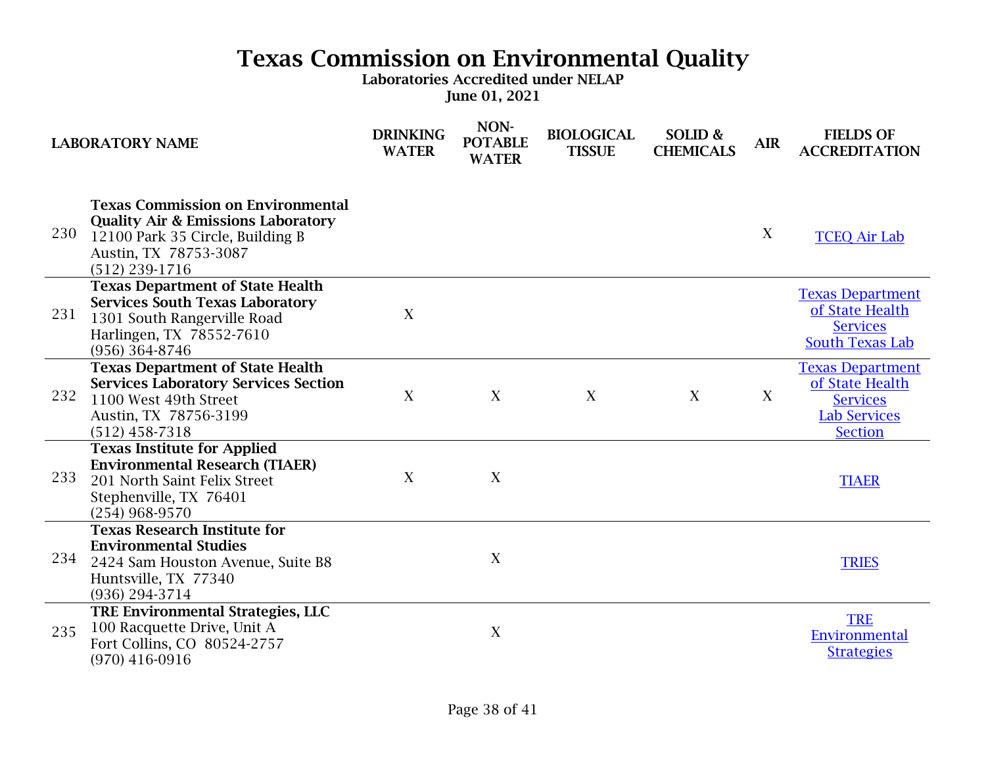| <b>LABORATORY NAME</b> |                                                                                                                                                                            | <b>DRINKING</b><br><b>WATER</b> | NON-<br><b>POTABLE</b><br><b>WATER</b> | <b>BIOLOGICAL</b><br><b>TISSUE</b> | SOLID &<br><b>CHEMICALS</b> | <b>AIR</b> | <b>FIELDS OF</b><br><b>ACCREDITATION</b>                                                               |
|------------------------|----------------------------------------------------------------------------------------------------------------------------------------------------------------------------|---------------------------------|----------------------------------------|------------------------------------|-----------------------------|------------|--------------------------------------------------------------------------------------------------------|
| 230                    | <b>Texas Commission on Environmental</b><br><b>Quality Air &amp; Emissions Laboratory</b><br>12100 Park 35 Circle, Building B<br>Austin, TX 78753-3087<br>$(512)$ 239-1716 |                                 |                                        |                                    |                             | X          | <b>TCEO Air Lab</b>                                                                                    |
| 231                    | <b>Texas Department of State Health</b><br><b>Services South Texas Laboratory</b><br>1301 South Rangerville Road<br>Harlingen, TX 78552-7610<br>$(956)$ 364-8746           | $\boldsymbol{X}$                |                                        |                                    |                             |            | <b>Texas Department</b><br>of State Health<br><b>Services</b><br><b>South Texas Lab</b>                |
| 232                    | <b>Texas Department of State Health</b><br><b>Services Laboratory Services Section</b><br>1100 West 49th Street<br>Austin, TX 78756-3199<br>$(512)$ 458-7318               | X                               | X                                      | X                                  | X                           | X          | <b>Texas Department</b><br>of State Health<br><b>Services</b><br><b>Lab Services</b><br><b>Section</b> |
| 233                    | <b>Texas Institute for Applied</b><br><b>Environmental Research (TIAER)</b><br>201 North Saint Felix Street<br>Stephenville, TX 76401<br>$(254)$ 968-9570                  | X                               | X                                      |                                    |                             |            | <b>TIAER</b>                                                                                           |
| 234                    | <b>Texas Research Institute for</b><br><b>Environmental Studies</b><br>2424 Sam Houston Avenue, Suite B8<br>Huntsville, TX 77340<br>(936) 294-3714                         |                                 | X                                      |                                    |                             |            | <b>TRIES</b>                                                                                           |
| 235                    | <b>TRE Environmental Strategies, LLC</b><br>100 Racquette Drive, Unit A<br>Fort Collins, CO 80524-2757<br>$(970)$ 416-0916                                                 |                                 | X                                      |                                    |                             |            | <b>TRE</b><br>Environmental<br><b>Strategies</b>                                                       |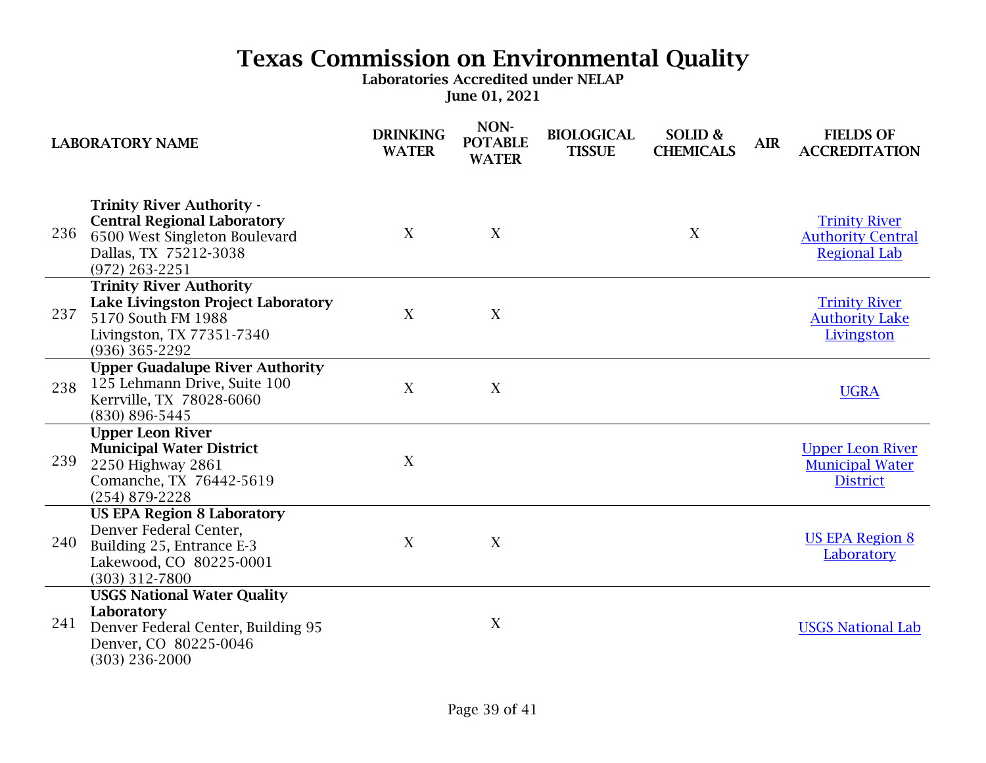|     | <b>LABORATORY NAME</b>                                                                                                                               | <b>DRINKING</b><br><b>WATER</b> | NON-<br><b>POTABLE</b><br><b>WATER</b> | <b>BIOLOGICAL</b><br><b>TISSUE</b> | SOLID &<br><b>CHEMICALS</b> | <b>AIR</b> | <b>FIELDS OF</b><br><b>ACCREDITATION</b>                                |
|-----|------------------------------------------------------------------------------------------------------------------------------------------------------|---------------------------------|----------------------------------------|------------------------------------|-----------------------------|------------|-------------------------------------------------------------------------|
| 236 | <b>Trinity River Authority -</b><br><b>Central Regional Laboratory</b><br>6500 West Singleton Boulevard<br>Dallas, TX 75212-3038<br>$(972)$ 263-2251 | X                               | X                                      |                                    | X                           |            | <b>Trinity River</b><br><b>Authority Central</b><br><b>Regional Lab</b> |
| 237 | <b>Trinity River Authority</b><br>Lake Livingston Project Laboratory<br>5170 South FM 1988<br>Livingston, TX 77351-7340<br>$(936)$ 365-2292          | X                               | X                                      |                                    |                             |            | <b>Trinity River</b><br><b>Authority Lake</b><br>Livingston             |
| 238 | <b>Upper Guadalupe River Authority</b><br>125 Lehmann Drive, Suite 100<br>Kerrville, TX 78028-6060<br>(830) 896-5445                                 | X                               | X                                      |                                    |                             |            | <b>UGRA</b>                                                             |
| 239 | <b>Upper Leon River</b><br><b>Municipal Water District</b><br>2250 Highway 2861<br>Comanche, TX 76442-5619<br>$(254)$ 879-2228                       | X                               |                                        |                                    |                             |            | <b>Upper Leon River</b><br><b>Municipal Water</b><br><b>District</b>    |
| 240 | <b>US EPA Region 8 Laboratory</b><br>Denver Federal Center,<br>Building 25, Entrance E-3<br>Lakewood, CO 80225-0001<br>$(303)$ 312-7800              | X                               | X                                      |                                    |                             |            | <b>US EPA Region 8</b><br>Laboratory                                    |
| 241 | <b>USGS National Water Quality</b><br>Laboratory<br>Denver Federal Center, Building 95<br>Denver, CO 80225-0046<br>$(303)$ 236-2000                  |                                 | X                                      |                                    |                             |            | <b>USGS National Lab</b>                                                |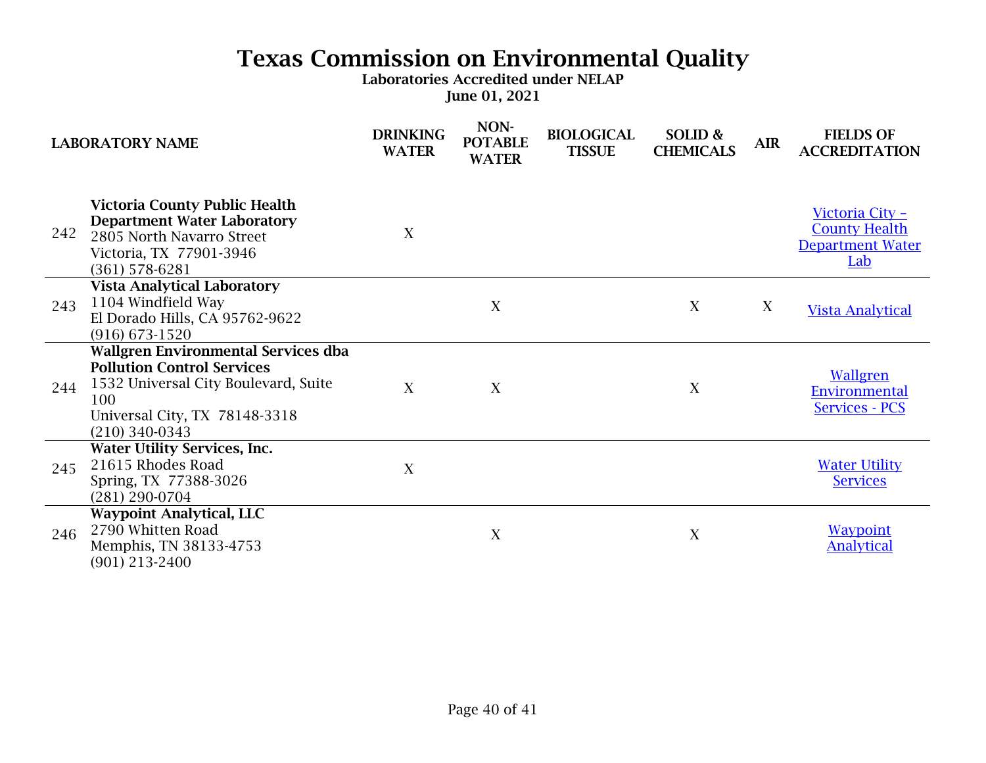| <b>LABORATORY NAME</b> |                                                                                                                                                                                     | <b>DRINKING</b><br><b>WATER</b> | NON-<br><b>POTABLE</b><br><b>WATER</b> | <b>BIOLOGICAL</b><br><b>TISSUE</b> | SOLID &<br><b>CHEMICALS</b> | <b>AIR</b> | <b>FIELDS OF</b><br><b>ACCREDITATION</b>                                  |
|------------------------|-------------------------------------------------------------------------------------------------------------------------------------------------------------------------------------|---------------------------------|----------------------------------------|------------------------------------|-----------------------------|------------|---------------------------------------------------------------------------|
| 242                    | <b>Victoria County Public Health</b><br><b>Department Water Laboratory</b><br>2805 North Navarro Street<br>Victoria, TX 77901-3946<br>$(361)$ 578-6281                              | X                               |                                        |                                    |                             |            | Victoria City -<br><b>County Health</b><br><b>Department Water</b><br>Lab |
| 243                    | <b>Vista Analytical Laboratory</b><br>1104 Windfield Way<br>El Dorado Hills, CA 95762-9622<br>$(916)$ 673-1520                                                                      |                                 | X                                      |                                    | X                           | X          | <b>Vista Analytical</b>                                                   |
| 244                    | <b>Wallgren Environmental Services dba</b><br><b>Pollution Control Services</b><br>1532 Universal City Boulevard, Suite<br>100<br>Universal City, TX 78148-3318<br>$(210)$ 340-0343 | $\mathbf{X}$                    | X                                      |                                    | X                           |            | Wallgren<br><b>Environmental</b><br><b>Services - PCS</b>                 |
| 245                    | <b>Water Utility Services, Inc.</b><br>21615 Rhodes Road<br>Spring, TX 77388-3026<br>$(281) 290 - 0704$                                                                             | X                               |                                        |                                    |                             |            | <b>Water Utility</b><br><b>Services</b>                                   |
| 246                    | <b>Waypoint Analytical, LLC</b><br>2790 Whitten Road<br>Memphis, TN 38133-4753<br>$(901)$ 213-2400                                                                                  |                                 | X                                      |                                    | X                           |            | <b>Waypoint</b><br><b>Analytical</b>                                      |